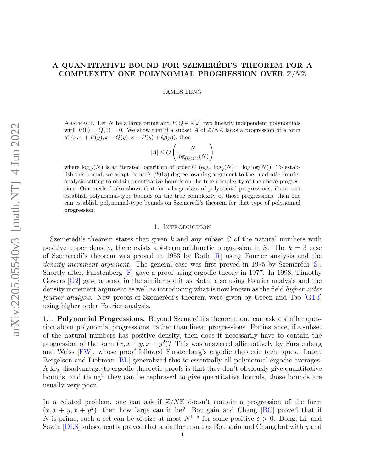# A QUANTITATIVE BOUND FOR SZEMERÉDI'S THEOREM FOR A COMPLEXITY ONE POLYNOMIAL PROGRESSION OVER Z/NZ

JAMES LENG

ABSTRACT. Let N be a large prime and  $P, Q \in \mathbb{Z}[x]$  two linearly independent polynomials with  $P(0) = Q(0) = 0$ . We show that if a subset A of  $\mathbb{Z}/N\mathbb{Z}$  lacks a progression of a form of  $(x, x + P(y), x + Q(y), x + P(y) + Q(y))$ , then

$$
|A| \leq O\left(\frac{N}{\log_{(O(1))}(N)}\right)
$$

where  $\log_C(N)$  is an iterated logarithm of order C (e.g.,  $\log_2(N) = \log \log(N)$ ). To establish this bound, we adapt Peluse's (2018) degree lowering argument to the quadratic Fourier analysis setting to obtain quantitative bounds on the true complexity of the above progression. Our method also shows that for a large class of polynomial progressions, if one can establish polynomial-type bounds on the true complexity of those progressions, then one can establish polynomial-type bounds on Szemerédi's theorem for that type of polynomial progression.

### 1. INTRODUCTION

Szemerédi's theorem states that given k and any subset S of the natural numbers with positive upper density, there exists a k-term arithmetic progression in S. The  $k = 3$  case of Szeméredi's theorem was proved in 1953 by Roth  $|R|$  using Fourier analysis and the density increment argument. The general case was first proved in 1975 by Szemerédi  $|S|$ . Shortly after, Furstenberg [\[F\]](#page-24-0) gave a proof using ergodic theory in 1977. In 1998, Timothy Gowers [\[G2\]](#page-25-0) gave a proof in the similar spirit as Roth, also using Fourier analysis and the density increment argument as well as introducing what is now known as the field *higher order fourier analysis.* New proofs of Szemerédi's theorem were given by Green and Tao  $[GT3]$ using higher order Fourier analysis.

1.1. **Polynomial Progressions.** Beyond Szemerédi's theorem, one can ask a similar question about polynomial progressions, rather than linear progressions. For instance, if a subset of the natural numbers has positive density, then does it necessarily have to contain the progression of the form  $(x, x+y, x+y^2)$ ? This was answered affirmatively by Furstenberg and Weiss [\[FW\]](#page-25-2), whose proof followed Furstenberg's ergodic theoretic techniques. Later, Bergelson and Liebman [\[BL\]](#page-24-1) generalized this to essentially all polynomial ergodic averages. A key disadvantage to ergodic theoretic proofs is that they don't obviously give quantitative bounds, and though they can be rephrased to give quantitative bounds, those bounds are usually very poor.

In a related problem, one can ask if  $\mathbb{Z}/N\mathbb{Z}$  doesn't contain a progression of the form  $(x, x + y, x + y^2)$ , then how large can it be? Bourgain and Chang [\[BC\]](#page-24-2) proved that if N is prime, such a set can be of size at most  $N^{1-\delta}$  for some positive  $\delta > 0$ . Dong, Li, and Sawin [\[DLS\]](#page-24-3) subsequently proved that a similar result as Bourgain and Chang but with y and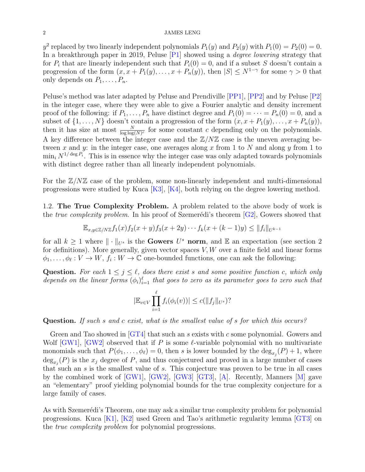### 2 JAMES LENG

 $y^2$  replaced by two linearly independent polynomials  $P_1(y)$  and  $P_2(y)$  with  $P_1(0) = P_2(0) = 0$ . In a breakthrough paper in 2019, Peluse [\[P1\]](#page-25-3) showed using a *degree lowering* strategy that for  $P_i$  that are linearly independent such that  $P_i(0) = 0$ , and if a subset S doesn't contain a progression of the form  $(x, x + P_1(y), \ldots, x + P_n(y))$ , then  $|S| \leq N^{1-\gamma}$  for some  $\gamma > 0$  that only depends on  $P_1, \ldots, P_n$ .

Peluse's method was later adapted by Peluse and Prendiville [\[PP1\]](#page-26-2), [\[PP2\]](#page-26-3) and by Peluse [\[P2\]](#page-26-4) in the integer case, where they were able to give a Fourier analytic and density increment proof of the following: if  $P_1, \ldots, P_n$  have distinct degree and  $P_1(0) = \cdots = P_n(0) = 0$ , and a subset of  $\{1, \ldots, N\}$  doesn't contain a progression of the form  $(x, x + P_1(y), \ldots, x + P_n(y)),$ then it has size at most  $\frac{N}{\log \log(N)^c}$  for some constant c depending only on the polynomials. A key difference between the integer case and the  $\mathbb{Z}/N\mathbb{Z}$  case is the uneven averaging between x and y: in the integer case, one averages along x from 1 to N and along y from 1 to  $\min_i N^{1/\deg P_i}$ . This is in essence why the integer case was only adapted towards polynomials with distinct degree rather than all linearly independent polynomials.

For the  $\mathbb{Z}/N\mathbb{Z}$  case of the problem, some non-linearly independent and multi-dimensional progressions were studied by Kuca  $[K3]$ ,  $[K4]$ , both relying on the degree lowering method.

1.2. The True Complexity Problem. A problem related to the above body of work is the *true complexity problem*. In his proof of Szemerédi's theorem  $[G2]$ , Gowers showed that

$$
\mathbb{E}_{x,y\in\mathbb{Z}/N\mathbb{Z}}f_1(x)f_2(x+y)f_3(x+2y)\cdots f_k(x+(k-1)y) \leq ||f_i||_{U^{k-1}}
$$

for all  $k \geq 1$  where  $|| \cdot ||_{U^{s}}$  is the **Gowers**  $U^{s}$  norm, and  $\mathbb{E}$  an expectation (see section 2) for definitions). More generally, given vector spaces  $V, W$  over a finite field and linear forms  $\phi_1, \ldots, \phi_\ell : V \to W, f_i : W \to \mathbb{C}$  one-bounded functions, one can ask the following:

Question. For each  $1 \leq j \leq \ell$ , does there exist s and some positive function c, which only depends on the linear forms  $(\phi_i)_{i=1}^{\ell}$  that goes to zero as its parameter goes to zero such that

$$
|\mathbb{E}_{v \in V} \prod_{i=1}^{\ell} f_i(\phi_i(v))| \le c(||f_j||_{U^s})?
$$

Question. If such s and c exist, what is the smallest value of s for which this occurs?

Green and Tao showed in  $\left[GT4\right]$  that such an s exists with c some polynomial. Gowers and Wolf  $[GW1]$ ,  $[GW2]$  observed that if P is some  $\ell$ -variable polynomial with no multivariate monomials such that  $P(\phi_1, \ldots, \phi_\ell) = 0$ , then s is lower bounded by the  $\deg_{x_j}(P) + 1$ , where  $\deg_{x_j}(P)$  is the  $x_j$  degree of P, and thus conjectured and proved in a large number of cases that such an s is the smallest value of s. This conjecture was proven to be true in all cases by the combined work of [\[GW1\]](#page-25-7), [\[GW2\]](#page-25-8), [\[GW3\]](#page-25-9) [\[GT3\]](#page-25-1), [\[A\]](#page-24-4). Recently, Manners [\[M\]](#page-25-10) gave an "elementary" proof yielding polynomial bounds for the true complexity conjecture for a large family of cases.

As with Szemerédi's Theorem, one may ask a similar true complexity problem for polynomial progressions. Kuca [\[K1\]](#page-25-11), [\[K2\]](#page-25-12) used Green and Tao's arithmetic regularity lemma [\[GT3\]](#page-25-1) on the true complexity problem for polynomial progressions.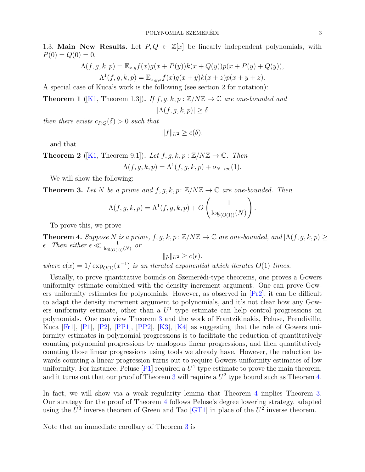1.3. Main New Results. Let  $P, Q \in \mathbb{Z}[x]$  be linearly independent polynomials, with  $P(0) = Q(0) = 0,$ 

$$
\Lambda(f,g,k,p) = \mathbb{E}_{x,y}f(x)g(x+P(y))k(x+Q(y))p(x+P(y)+Q(y)),
$$
  

$$
\Lambda^1(f,g,k,p) = \mathbb{E}_{x,y,z}f(x)g(x+y)k(x+z)p(x+y+z).
$$

A special case of Kuca's work is the following (see section 2 for notation):

<span id="page-2-2"></span>**Theorem 1** ([\[K1,](#page-25-11) Theorem 1.3]). If f, g, k,  $p : \mathbb{Z}/N\mathbb{Z} \to \mathbb{C}$  are one-bounded and

 $|\Lambda(f, q, k, p)| > \delta$ 

then there exists  $c_{P,Q}(\delta) > 0$  such that

$$
||f||_{U^2} \ge c(\delta).
$$

and that

<span id="page-2-3"></span>**Theorem 2** ([\[K1,](#page-25-11) Theorem 9.1]). Let  $f, g, k, p : \mathbb{Z}/N\mathbb{Z} \to \mathbb{C}$ . Then

$$
\Lambda(f, g, k, p) = \Lambda^1(f, g, k, p) + o_{N \to \infty}(1).
$$

We will show the following:

<span id="page-2-0"></span>**Theorem 3.** Let N be a prime and  $f, g, k, p: \mathbb{Z}/N\mathbb{Z} \to \mathbb{C}$  are one-bounded. Then

$$
\Lambda(f,g,k,p) = \Lambda^1(f,g,k,p) + O\left(\frac{1}{\log_{(O(1))}(N)}\right).
$$

To prove this, we prove

<span id="page-2-1"></span>**Theorem 4.** Suppose N is a prime,  $f, g, k, p: \mathbb{Z}/N\mathbb{Z} \to \mathbb{C}$  are one-bounded, and  $\vert \Lambda(f, g, k, p) \geq$  $\epsilon$ . Then either  $\epsilon \ll \frac{1}{\log_{(O(1))}(N)}$  or

$$
||p||_{U^2} \ge c(\epsilon).
$$

where  $c(x) = 1/\exp_{O(1)}(x^{-1})$  is an iterated exponential which iterates  $O(1)$  times.

Usually, to prove quantitative bounds on Szemerédi-type theorems, one proves a Gowers uniformity estimate combined with the density increment argument. One can prove Gowers uniformity estimates for polynomials. However, as observed in [\[Pr2\]](#page-26-5), it can be difficult to adapt the density increment argument to polynomials, and it's not clear how any Gowers uniformity estimate, other than a  $U^1$  type estimate can help control progressions on polynomials. One can view Theorem [3](#page-2-0) and the work of Frantzikinakis, Peluse, Prendiville, Kuca [\[Fr1\]](#page-24-5), [\[P1\]](#page-25-3), [\[P2\]](#page-26-4), [\[PP1\]](#page-26-2), [\[PP2\]](#page-26-3), [\[K3\]](#page-25-4), [\[K4\]](#page-25-5) as suggesting that the role of Gowers uniformity estimates in polynomial progressions is to facilitate the reduction of quantitatively counting polynomial progressions by analogous linear progressions, and then quantitatively counting those linear progressions using tools we already have. However, the reduction towards counting a linear progression turns out to require Gowers uniformity estimates of low uniformity. For instance, Peluse  $[P1]$  required a  $U^1$  type estimate to prove the main theorem, and it turns out that our proof of Theorem [3](#page-2-0) will require a  $U^2$  type bound such as Theorem [4.](#page-2-1)

In fact, we will show via a weak regularity lemma that Theorem [4](#page-2-1) implies Theorem [3.](#page-2-0) Our strategy for the proof of Theorem [4](#page-2-1) follows Peluse's degree lowering strategy, adapted using the  $U^3$  inverse theorem of Green and Tao [\[GT1\]](#page-25-13) in place of the  $U^2$  inverse theorem.

Note that an immediate corollary of Theorem [3](#page-2-0) is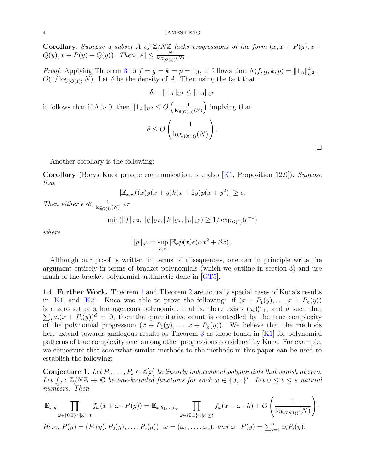**Corollary.** Suppose a subset A of  $\mathbb{Z}/N\mathbb{Z}$  lacks progressions of the form  $(x, x + P(y), x + P(y))$  $Q(y), x + P(y) + Q(y)$ . Then  $|A| \leq \frac{N}{\log_{(O(1))}(N)}$ .

*Proof.* Applying Theorem [3](#page-2-0) to  $f = g = k = p = 1_A$ , it follows that  $\Lambda(f, g, k, p) = ||1_A||_{U^2}^4 +$  $O(1/\log_{(O(1))} N)$ . Let  $\delta$  be the density of A. Then using the fact that

$$
\delta = ||1_A||_{U^1} \le ||1_A||_{U^2}
$$
  
it follows that if  $\Lambda > 0$ , then  $||1_A||_{U^2} \le O\left(\frac{1}{\log_{(O(1))}(N)}\right)$  implying that  

$$
\delta \le O\left(\frac{1}{\log_{(O(1))}(N)}\right).
$$

Another corollary is the following:

Corollary (Borys Kuca private communication, see also [\[K1,](#page-25-11) Proposition 12.9]). Suppose that

$$
|\mathbb{E}_{x,y}f(x)g(x+y)k(x+2y)p(x+y^2)| \ge \epsilon.
$$

Then either  $\epsilon \ll \frac{1}{\log_{O(1)}(N)}$  or

 $\min(\|f\|_{U^2}, \|g\|_{U^2}, \|k\|_{U^2}, \|p\|_{u^3}) \ge 1/\exp_{O(1)}(\epsilon^{-1})$ 

where

$$
||p||_{u^3} = \sup_{\alpha,\beta} |\mathbb{E}_x p(x)e(\alpha x^2 + \beta x)|.
$$

Although our proof is written in terms of nilsequences, one can in principle write the argument entirely in terms of bracket polynomials (which we outline in section 3) and use much of the bracket polynomial arithmetic done in [\[GT5\]](#page-25-14).

[1](#page-2-2).4. **Further Work.** Theorem 1 and Theorem [2](#page-2-3) are actually special cases of Kuca's results in [\[K1\]](#page-25-11) and [\[K2\]](#page-25-12). Kuca was able to prove the following: if  $(x + P_1(y), \ldots, x + P_n(y))$ is a zero set of a homogeneous polynomial, that is, there exists  $(a_i)_{i=1}^n$ <br> $\sum_i a_i(x + P_i(y))^d = 0$ , then the quantitative count is controlled by the , and d such that  $i_i a_i(x + P_i(y))^d = 0$ , then the quantitative count is controlled by the true complexity of the polynomial progression  $(x + P_1(y), \ldots, x + P_n(y))$ . We believe that the methods here extend towards analogous results as Theorem [3](#page-2-0) as those found in  $[K1]$  for polynomial patterns of true complexity one, among other progressions considered by Kuca. For example, we conjecture that somewhat similar methods to the methods in this paper can be used to establish the following:

<span id="page-3-0"></span>**Conjecture 1.** Let  $P_1, \ldots, P_s \in \mathbb{Z}[x]$  be linearly independent polynomials that vanish at zero. Let  $f_\omega : \mathbb{Z}/N\mathbb{Z} \to \mathbb{C}$  be one-bounded functions for each  $\omega \in \{0,1\}^s$ . Let  $0 \leq t \leq s$  natural numbers. Then

$$
\mathbb{E}_{x,y} \prod_{\omega \in \{0,1\}^s : |\omega|=t} f_{\omega}(x+\omega \cdot P(y)) = \mathbb{E}_{x,h_1,\dots,h_s} \prod_{\omega \in \{0,1\}^s : |\omega| \le t} f_{\omega}(x+\omega \cdot h) + O\left(\frac{1}{\log_{(O(1))}(N)}\right).
$$
  
Here,  $P(y) = (P_1(y), P_2(y), \dots, P_s(y)), \omega = (\omega_1, \dots, \omega_s), \text{ and } \omega \cdot P(y) = \sum_{i=1}^s \omega_i P_i(y).$ 

 $\Box$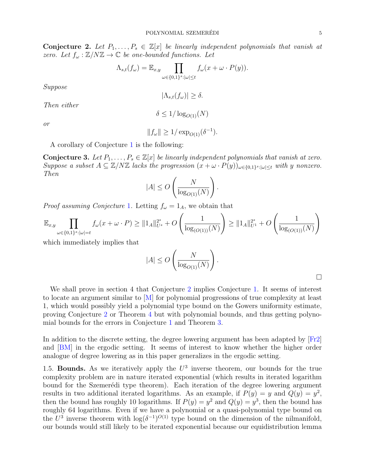<span id="page-4-0"></span>Conjecture 2. Let  $P_1, \ldots, P_s \in \mathbb{Z}[x]$  be linearly independent polynomials that vanish at zero. Let  $f_{\omega} : \mathbb{Z}/N\mathbb{Z} \to \mathbb{C}$  be one-bounded functions. Let

$$
\Lambda_{s,t}(f_\omega)=\mathbb{E}_{x,y}\prod_{\omega\in\{0,1\}^s:\,|\omega|\leq t}f_\omega(x+\omega\cdot P(y)).
$$

Suppose

$$
|\Lambda_{s,t}(f_\omega)| \ge \delta.
$$

Then either

$$
\delta \le 1/\log_{O(1)}(N)
$$

or

 $||f_{\omega}|| \ge 1/\exp_{O(1)}(\delta^{-1}).$ 

A corollary of Conjecture [1](#page-3-0) is the following:

**Conjecture 3.** Let  $P_1, \ldots, P_s \in \mathbb{Z}[x]$  be linearly independent polynomials that vanish at zero. Suppose a subset  $A \subseteq \mathbb{Z}/N\mathbb{Z}$  lacks the progression  $(x + \omega \cdot P(y))_{\omega \in \{0,1\}^s : |\omega| \leq t}$  with y nonzero. Then

$$
|A| \le O\left(\frac{N}{\log_{O(1)}(N)}\right).
$$

*Proof assuming Conjecture [1](#page-3-0).* Letting  $f_{\omega} = 1_A$ , we obtain that

$$
\mathbb{E}_{x,y} \prod_{\omega \in \{0,1\}^s : |\omega|=t} f_{\omega}(x+\omega \cdot P) \ge ||1_A||_{U^s}^{2^s} + O\left(\frac{1}{\log_{(O(1))}(N)}\right) \ge ||1_A||_{U^1}^{2^s} + O\left(\frac{1}{\log_{(O(1))}(N)}\right)
$$

which immediately implies that

$$
|A| \le O\left(\frac{N}{\log_{O(1)}(N)}\right).
$$

 $\Box$ 

We shall prove in section 4 that Conjecture [2](#page-4-0) implies Conjecture [1.](#page-3-0) It seems of interest to locate an argument similar to [\[M\]](#page-25-10) for polynomial progressions of true complexity at least 1, which would possibly yield a polynomial type bound on the Gowers uniformity estimate, proving Conjecture [2](#page-4-0) or Theorem [4](#page-2-1) but with polynomial bounds, and thus getting polynomial bounds for the errors in Conjecture [1](#page-3-0) and Theorem [3.](#page-2-0)

In addition to the discrete setting, the degree lowering argument has been adapted by [\[Fr2\]](#page-24-6) and [\[BM\]](#page-24-7) in the ergodic setting. It seems of interest to know whether the higher order analogue of degree lowering as in this paper generalizes in the ergodic setting.

1.5. Bounds. As we iteratively apply the  $U^3$  inverse theorem, our bounds for the true complexity problem are in nature iterated exponential (which results in iterated logarithm bound for the Szemerédi type theorem). Each iteration of the degree lowering argument results in two additional iterated logarithms. As an example, if  $P(y) = y$  and  $Q(y) = y^2$ , then the bound has roughly 10 logarithms. If  $P(y) = y^2$  and  $Q(y) = y^3$ , then the bound has roughly 64 logarithms. Even if we have a polynomial or a quasi-polynomial type bound on the  $U^3$  inverse theorem with  $\log(\delta^{-1})^{O(1)}$  type bound on the dimension of the nilmanifold, our bounds would still likely to be iterated exponential because our equidistribution lemma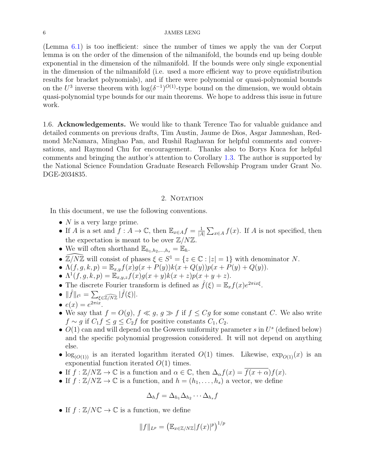### 6 JAMES LENG

(Lemma 6.[1\)](#page-18-0) is too inefficient: since the number of times we apply the van der Corput lemma is on the order of the dimension of the nilmanifold, the bounds end up being double exponential in the dimension of the nilmanifold. If the bounds were only single exponential in the dimension of the nilmanifold (i.e. used a more efficient way to prove equidistribution results for bracket polynomials), and if there were polynomial or quasi-polynomial bounds on the  $U^3$  inverse theorem with  $\log(\delta^{-1})^{O(1)}$ -type bound on the dimension, we would obtain quasi-polynomial type bounds for our main theorems. We hope to address this issue in future work.

1.6. Acknowledgements. We would like to thank Terence Tao for valuable guidance and detailed comments on previous drafts, Tim Austin, Jaume de Dios, Asgar Jamneshan, Redmond McNamara, Minghao Pan, and Rushil Raghavan for helpful comments and conversations, and Raymond Chu for encouragement. Thanks also to Borys Kuca for helpful comments and bringing the author's attention to Corollary 1.[3.](#page-2-1) The author is supported by the National Science Foundation Graduate Research Fellowship Program under Grant No. DGE-2034835.

# 2. NOTATION

In this document, we use the following conventions.

- $N$  is a very large prime.
- If A is a set and  $f: A \to \mathbb{C}$ , then  $\mathbb{E}_{x \in A} f = \frac{1}{|A|}$  $\frac{1}{|A|}\sum_{x\in A}f(x)$ . If A is not specified, then the expectation is meant to be over  $\mathbb{Z}/N\mathbb{Z}$ .
- We will often shorthand  $\mathbb{E}_{h_1,h_2,...,h_s} = \mathbb{E}_h$ .
- $\widehat{\mathbb{Z}/N\mathbb{Z}}$  will consist of phases  $\xi \in S^1 = \{z \in \mathbb{C} : |z| = 1\}$  with denominator N.
- $\Lambda(f, g, k, p) = \mathbb{E}_{x,y} f(x)g(x + P(y))k(x + Q(y))p(x + P(y) + Q(y)).$
- $\Lambda^{1}(f, g, k, p) = \mathbb{E}_{x, y, z}^{s} f(x)g(x+y)k(x+z)p(x+y+z).$
- The discrete Fourier transform is defined as  $\hat{f}(\xi) = \mathbb{E}_x f(x) e^{2\pi i x \xi}$ .
- $\bullet \ \|\widehat{f}\|_{\ell^1} = \sum_{\xi \in \widehat{\mathbb{Z}/N\mathbb{Z}}} |\widehat{f}(\xi)|.$
- $e(x) = e^{2\pi ix}$ .
- We say that  $f = O(q)$ ,  $f \ll q$ ,  $q \gg f$  if  $f \ll Cq$  for some constant C. We also write  $f \sim g$  if  $C_1 f \leq g \leq C_2 f$  for positive constants  $C_1, C_2$ .
- $O(1)$  can and will depend on the Gowers uniformity parameter s in  $U^s$  (defined below) and the specific polynomial progression considered. It will not depend on anything else.
- $\log_{(O(1))}$  is an iterated logarithm iterated  $O(1)$  times. Likewise,  $\exp_{O(1)}(x)$  is an exponential function iterated  $O(1)$  times.
- If  $f: \mathbb{Z}/N\mathbb{Z} \to \mathbb{C}$  is a function and  $\alpha \in \mathbb{C}$ , then  $\Delta_{\alpha} f(x) = f(x + \alpha) f(x)$ .
- If  $f : \mathbb{Z}/N\mathbb{Z} \to \mathbb{C}$  is a function, and  $h = (h_1, \ldots, h_s)$  a vector, we define

$$
\Delta_h f = \Delta_{h_1} \Delta_{h_2} \cdots \Delta_{h_s} f
$$

• If  $f : \mathbb{Z}/N\mathbb{C} \to \mathbb{C}$  is a function, we define

$$
||f||_{L^p} = \left(\mathbb{E}_{x \in \mathbb{Z}/N\mathbb{Z}} |f(x)|^p\right)^{1/p}
$$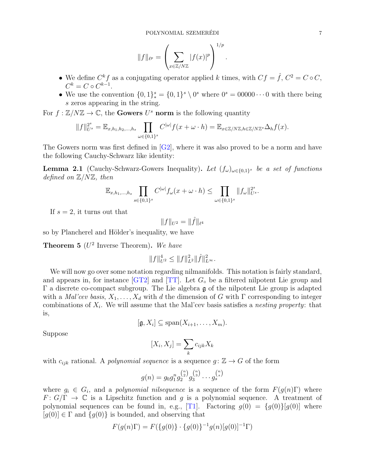$$
||f||_{\ell^p} = \left(\sum_{x \in \mathbb{Z}/N\mathbb{Z}} |f(x)|^p\right)^{1/p}.
$$

- We define  $C^k f$  as a conjugating operator applied k times, with  $Cf = \hat{f}$ ,  $C^2 = C \circ C$ ,  $C^k = C \circ C^{k-1}.$
- We use the convention  $\{0,1\}^s_* = \{0,1\}^s \setminus 0^s$  where  $0^s = 00000 \cdots 0$  with there being s zeros appearing in the string.

For  $f: \mathbb{Z}/N\mathbb{Z} \to \mathbb{C}$ , the **Gowers**  $U^s$  norm is the following quantity

$$
||f||_{U^s}^{2^s} = \mathbb{E}_{x,h_1,h_2,\ldots,h_s} \prod_{\omega \in \{0,1\}^s} C^{|\omega|} f(x+\omega \cdot h) = \mathbb{E}_{x \in \mathbb{Z}/N\mathbb{Z},h \in \mathbb{Z}/N\mathbb{Z}^s} \Delta_h f(x).
$$

The Gowers norm was first defined in [\[G2\]](#page-25-0), where it was also proved to be a norm and have the following Cauchy-Schwarz like identity:

<span id="page-6-0"></span>**Lemma 2.1** (Cauchy-Schwarz-Gowers Inequality). Let  $(f_\omega)_{\omega \in \{0,1\}^s}$  be a set of functions defined on  $\mathbb{Z}/N\mathbb{Z}$ , then

$$
\mathbb{E}_{x,h_1,\dots,h_s} \prod_{s\in\{0,1\}^s} C^{|\omega|} f_{\omega}(x+\omega \cdot h) \leq \prod_{\omega \in \{0,1\}^s} \|f_{\omega}\|_{U^s}^{2^s}.
$$

If  $s = 2$ , it turns out that

 $||f||_{U^2} = ||\hat{f}||_{\ell^4}$ 

so by Plancherel and Hölder's inequality, we have

<span id="page-6-1"></span>**Theorem 5** ( $U^2$  Inverse Theorem). We have

$$
||f||_{U^2}^4 \le ||f||_{L^2}^2 ||\hat{f}||_{L^{\infty}}^2.
$$

We will now go over some notation regarding nilmanifolds. This notation is fairly standard, and appears in, for instance  $\left[GT2\right]$  and  $\left[TT\right]$ . Let  $G_{\circ}$  be a filtered nilpotent Lie group and Γ a discrete co-compact subgroup. The Lie algebra g of the nilpotent Lie group is adapted with a *Mal'cev basis*,  $X_1, \ldots, X_d$  with d the dimension of G with  $\Gamma$  corresponding to integer combinations of  $X_i$ . We will assume that the Mal'cev basis satisfies a *nesting property*: that is,

$$
[\mathfrak{g}, X_i] \subseteq \mathrm{span}(X_{i+1}, \ldots, X_m).
$$

Suppose

$$
[X_i, X_j] = \sum_k c_{ijk} X_k
$$

with  $c_{ijk}$  rational. A *polynomial sequence* is a sequence  $g: \mathbb{Z} \to G$  of the form

$$
g(n) = g_0 g_1^n g_2^{{n \choose 2}} g_3^{{n \choose 3}} \cdots g_s^{{n \choose s}}
$$

where  $g_i \in G_i$ , and a *polynomial nilsequence* is a sequence of the form  $F(g(n)\Gamma)$  where  $F: G/\Gamma \to \mathbb{C}$  is a Lipschitz function and g is a polynomial sequence. A treatment of polynomial sequences can be found in, e.g., [\[T1\]](#page-26-7). Factoring  $g(0) = {g(0)}[g(0)]$  where  $[q(0)] \in \Gamma$  and  $\{q(0)\}\$ is bounded, and observing that

$$
F(g(n)\Gamma) = F(\lbrace g(0)\rbrace \cdot \lbrace g(0)\rbrace^{-1} g(n)[g(0)]^{-1} \Gamma)
$$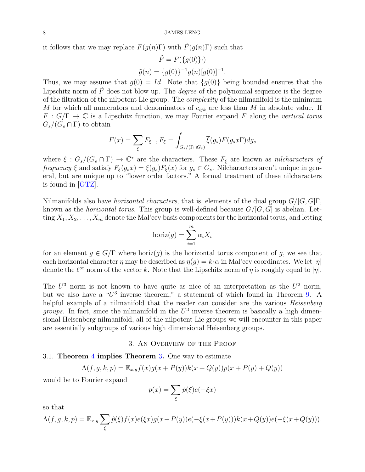it follows that we may replace  $F(g(n)\Gamma)$  with  $F(\tilde{g}(n)\Gamma)$  such that

$$
\tilde{F} = F(\{g(0)\})
$$
  

$$
\tilde{g}(n) = \{g(0)\}^{-1} g(n) [g(0)]^{-1}.
$$

Thus, we may assume that  $g(0) = Id$ . Note that  $\{g(0)\}\$  being bounded ensures that the Lipschitz norm of  $\tilde{F}$  does not blow up. The *degree* of the polynomial sequence is the degree of the filtration of the nilpotent Lie group. The complexity of the nilmanifold is the minimum M for which all numerators and denominators of  $c_{ijk}$  are less than M in absolute value. If  $F: G/\Gamma \to \mathbb{C}$  is a Lipschitz function, we may Fourier expand F along the vertical torus  $G_s/(G_s \cap \Gamma)$  to obtain

$$
F(x) = \sum_{\xi} F_{\xi} , F_{\xi} = \int_{G_s/(\Gamma \cap G_s)} \overline{\xi}(g_s) F(g_s x \Gamma) dg_s
$$

where  $\xi: G_s/G_s \cap \Gamma$   $\to \mathbb{C}^*$  are the characters. These  $F_{\xi}$  are known as *nilcharacters of* frequency  $\xi$  and satisfy  $F_{\xi}(g_s x) = \xi(g_s) F_{\xi}(x)$  for  $g_s \in G_s$ . Nilcharacters aren't unique in general, but are unique up to "lower order factors." A formal treatment of these nilcharacters is found in [\[GTZ\]](#page-25-16).

Nilmanifolds also have *horizontal characters*, that is, elements of the dual group  $G/[G, G]\Gamma$ , known as the *horizontal torus*. This group is well-defined because  $G/[G, G]$  is abelian. Letting  $X_1, X_2, \ldots, X_m$  denote the Mal'cev basis components for the horizontal torus, and letting

$$
\operatorname{horiz}(g) = \sum_{i=1}^{m} \alpha_i X_i
$$

for an element  $q \in G/\Gamma$  where horiz(q) is the horizontal torus component of q, we see that each horizontal character  $\eta$  may be described as  $\eta(q) = k \cdot \alpha$  in Mal'cev coordinates. We let  $|\eta|$ denote the  $\ell^{\infty}$  norm of the vector k. Note that the Lipschitz norm of  $\eta$  is roughly equal to  $|\eta|$ .

The  $U^3$  norm is not known to have quite as nice of an interpretation as the  $U^2$  norm, but we also have a " $U^3$  inverse theorem," a statement of which found in Theorem [9.](#page-22-0) A helpful example of a nilmanifold that the reader can consider are the various *Heisenberg groups*. In fact, since the nilmanifold in the  $U^3$  inverse theorem is basically a high dimensional Heisenberg nilmanifold, all of the nilpotent Lie groups we will encounter in this paper are essentially subgroups of various high dimensional Heisenberg groups.

# 3. An Overview of the Proof

### 3.1. Theorem [4](#page-2-1) implies Theorem [3](#page-2-0). One way to estimate

$$
\Lambda(f, g, k, p) = \mathbb{E}_{x, y} f(x) g(x + P(y)) k(x + Q(y)) p(x + P(y) + Q(y))
$$

would be to Fourier expand

$$
p(x) = \sum_{\xi} \hat{p}(\xi)e(-\xi x)
$$

so that

$$
\Lambda(f, g, k, p) = \mathbb{E}_{x, y} \sum_{\xi} \hat{p}(\xi) f(x) e(\xi x) g(x + P(y)) e(-\xi(x + P(y))) k(x + Q(y)) e(-\xi(x + Q(y))).
$$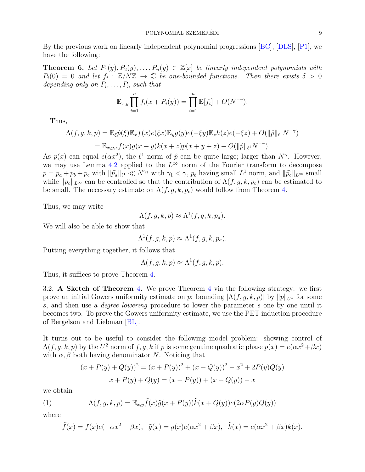By the previous work on linearly independent polynomial progressions [\[BC\]](#page-24-2), [\[DLS\]](#page-24-3), [\[P1\]](#page-25-3), we have the following:

<span id="page-8-0"></span>**Theorem 6.** Let  $P_1(y), P_2(y), \ldots, P_n(y) \in \mathbb{Z}[x]$  be linearly independent polynomials with  $P_i(0) = 0$  and let  $f_i : \mathbb{Z}/N\mathbb{Z} \to \mathbb{C}$  be one-bounded functions. Then there exists  $\delta > 0$ depending only on  $P_i, \ldots, P_n$  such that

$$
\mathbb{E}_{x,y} \prod_{i=1}^n f_i(x + P_i(y)) = \prod_{i=1}^n \mathbb{E}[f_i] + O(N^{-\gamma}).
$$

Thus,

$$
\Lambda(f,g,k,p) = \mathbb{E}_{\xi}\hat{p}(\xi)\mathbb{E}_x f(x)e(\xi x)\mathbb{E}_y g(y)e(-\xi y)\mathbb{E}_z h(z)e(-\xi z) + O(\|\hat{p}\|_{\ell^1}N^{-\gamma})
$$
  
= 
$$
\mathbb{E}_{x,y,z}f(x)g(x+y)k(x+z)p(x+y+z) + O(\|\hat{p}\|_{\ell^1}N^{-\gamma}).
$$

As  $p(x)$  can equal  $e(\alpha x^2)$ , the  $\ell^1$  norm of  $\hat{p}$  can be quite large; larger than  $N^{\gamma}$ . However, we may use Lemma [4](#page-10-0).2 applied to the  $L^{\infty}$  norm of the Fourier transform to decompose  $p = p_a + p_b + p_c$  with  $\|\widehat{p}_a\|_{\ell^1} \ll N^{\gamma_1}$  with  $\gamma_1 < \gamma$ ,  $p_b$  having small  $L^1$  norm, and  $\|\widehat{p}_c\|_{L^\infty}$  small<br>while  $\|p_a\|_{L^\infty}$  can be controlled so that the contribution of  $\Lambda(f, a, k, n)$  can be estimated to while  $\|p_c\|_{L^\infty}$  can be controlled so that the contribution of  $\Lambda(f, g, k, p_c)$  can be estimated to be small. The necessary estimate on  $\Lambda(f, g, k, p_c)$  would follow from Theorem [4.](#page-2-1)

Thus, we may write

$$
\Lambda(f, g, k, p) \approx \Lambda^1(f, g, k, p_a).
$$

We will also be able to show that

$$
\Lambda^1(f, g, k, p) \approx \Lambda^1(f, g, k, p_a).
$$

Putting everything together, it follows that

$$
\Lambda(f, g, k, p) \approx \Lambda^1(f, g, k, p).
$$

Thus, it suffices to prove Theorem [4.](#page-2-1)

3.2. A Sketch of Theorem [4](#page-2-1). We prove Theorem [4](#page-2-1) via the following strategy: we first prove an initial Gowers uniformity estimate on p: bounding  $|\Lambda(f, q, k, p)|$  by  $||p||_{U^{s}}$  for some s, and then use a degree lowering procedure to lower the parameter s one by one until it becomes two. To prove the Gowers uniformity estimate, we use the PET induction procedure of Bergelson and Liebman [\[BL\]](#page-24-1).

It turns out to be useful to consider the following model problem: showing control of  $\Lambda(f, g, k, p)$  by the  $U^2$  norm of f, g, k if p is some genuine quadratic phase  $p(x) = e(\alpha x^2 + \beta x)$ with  $\alpha$ ,  $\beta$  both having denominator N. Noticing that

$$
(x + P(y) + Q(y))^{2} = (x + P(y))^{2} + (x + Q(y))^{2} - x^{2} + 2P(y)Q(y)
$$

$$
x + P(y) + Q(y) = (x + P(y)) + (x + Q(y)) - x
$$

we obtain

(1) 
$$
\Lambda(f,g,k,p) = \mathbb{E}_{x,y}\tilde{f}(x)\tilde{g}(x+P(y))\tilde{k}(x+Q(y))e(2\alpha P(y)Q(y))
$$

where

$$
\tilde{f}(x) = f(x)e(-\alpha x^2 - \beta x), \quad \tilde{g}(x) = g(x)e(\alpha x^2 + \beta x), \quad \tilde{k}(x) = e(\alpha x^2 + \beta x)k(x).
$$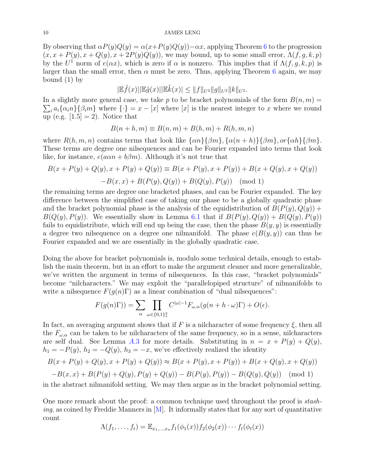#### 10 JAMES LENG

By observing that  $\alpha P(y)Q(y) = \alpha(x+P(y)Q(y))-\alpha x$ , applying Theorem [6](#page-8-0) to the progression  $(x, x + P(y), x + Q(y), x + 2P(y)Q(y))$ , we may bound, up to some small error,  $\Lambda(f, g, k, p)$ by the  $U^1$  norm of  $e(\alpha x)$ , which is zero if  $\alpha$  is nonzero. This implies that if  $\Lambda(f, g, k, p)$  is larger than the small error, then  $\alpha$  must be zero. Thus, applying Theorem [6](#page-8-0) again, we may bound (1) by

$$
|\mathbb{E}\tilde{f}(x)||\mathbb{E}\tilde{g}(x)||\mathbb{E}\tilde{k}(x)| \leq ||f||_{U^{2}}||g||_{U^{2}}||k||_{U^{2}}.
$$

 $\sum_{i} a_i \{\alpha_i n\} {\beta_i m}$  where  $\{\cdot\} = x - [x]$  where  $[x]$  is the nearest integer to x where we round In a slightly more general case, we take p to be bracket polynomials of the form  $B(n, m) =$ up (e.g.  $[1.5] = 2$ ). Notice that

$$
B(n+h, m) \equiv B(n, m) + B(h, m) + R(h, m, n)
$$

where  $R(h, m, n)$  contains terms that look like  $\{\alpha n\}$ { $\beta m$ },  $\{\alpha(n+h)\}$ { $\beta m$ }, or $\{\alpha h\}$ { $\beta m$ }. These terms are degree one nilsequences and can be Fourier expanded into terms that look like, for instance,  $e(a\alpha n + b\beta m)$ . Although it's not true that

$$
B(x + P(y) + Q(y), x + P(y) + Q(y)) \equiv B(x + P(y), x + P(y)) + B(x + Q(y), x + Q(y))
$$

$$
-B(x, x) + B(P(y), Q(y)) + B(Q(y), P(y)) \pmod{1}
$$

the remaining terms are degree one bracketed phases, and can be Fourier expanded. The key difference between the simplified case of taking our phase to be a globally quadratic phase and the bracket polynomial phase is the analysis of the equidistribution of  $B(P(y), Q(y))$  +  $B(Q(y), P(y))$ . We essentially show in Lemma [6](#page-18-0).1 that if  $B(P(y), Q(y)) + B(Q(y), P(y))$ fails to equidistribute, which will end up being the case, then the phase  $B(y, y)$  is essentially a degree two nilsequence on a degree one nilmanifold. The phase  $e(B(y, y))$  can thus be Fourier expanded and we are essentially in the globally quadratic case.

Doing the above for bracket polynomials is, modulo some technical details, enough to establish the main theorem, but in an effort to make the argument cleaner and more generalizable, we've written the argument in terms of nilsequences. In this case, "bracket polynomials" become "nilcharacters." We may exploit the "parallelopiped structure" of nilmanifolds to write a nilsequence  $F(q(n)\Gamma)$  as a linear combination of "dual nilsequences":

$$
F(g(n)\Gamma)) = \sum_{\alpha} \prod_{\omega \in \{0,1\}^3_*} C^{|\omega|-1} F_{\omega,\alpha}(g(n+h \cdot \omega)\Gamma) + O(\epsilon).
$$

In fact, an averaging argument shows that if F is a nilcharacter of some frequency  $\xi$ , then all the  $F_{\omega,\alpha}$  can be taken to be nilcharacters of the same frequency, so in a sense, nilcharacters are self dual. See Lemma [A.](#page-22-1)3 for more details. Substituting in  $n = x + P(y) + Q(y)$ ,  $h_1 = -P(y), h_2 = -Q(y), h_3 = -x$ , we've effectively realized the identity

$$
B(x + P(y) + Q(y), x + P(y) + Q(y)) \approx B(x + P(y), x + P(y)) + B(x + Q(y), x + Q(y))
$$

$$
-B(x,x) + B(P(y) + Q(y), P(y) + Q(y)) - B(P(y), P(y)) - B(Q(y), Q(y)) \pmod{1}
$$

in the abstract nilmanifold setting. We may then argue as in the bracket polynomial setting.

One more remark about the proof: a common technique used throughout the proof is stash*ing*, as coined by Freddie Manners in  $[M]$ . It informally states that for any sort of quantitative count

$$
\Lambda(f_1,\ldots,f_t)=\mathbb{E}_{x_1,\ldots,x_u}f_1(\phi_1(x))f_2(\phi_2(x))\cdots f_t(\phi_t(x))
$$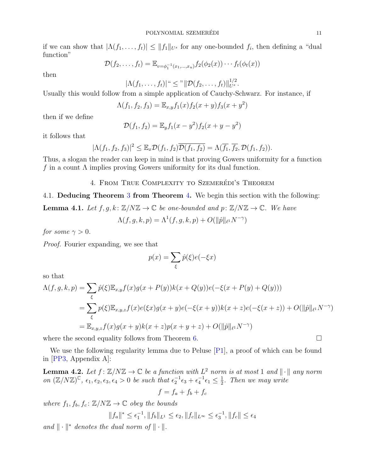if we can show that  $|\Lambda(f_1,\ldots,f_t)| \leq ||f_1||_{U^s}$  for any one-bounded  $f_i$ , then defining a "dual function"

$$
\mathcal{D}(f_2,\ldots,f_t) = \mathbb{E}_{v=\phi_1^{-1}(x_1,\ldots,x_u)} f_2(\phi_2(x)) \cdots f_t(\phi_t(x))
$$

then

 $|\Lambda(f_1,\ldots,f_t)|\,\mathbf{a} \leq \mathbf{b} \|\mathcal{D}(f_2,\ldots,f_t)\|_{U^s}^{1/2}.$ 

Usually this would follow from a simple application of Cauchy-Schwarz. For instance, if

$$
\Lambda(f_1, f_2, f_3) = \mathbb{E}_{x,y} f_1(x) f_2(x+y) f_3(x+y^2)
$$

then if we define

$$
\mathcal{D}(f_1, f_2) = \mathbb{E}_y f_1(x - y^2) f_2(x + y - y^2)
$$

it follows that

$$
|\Lambda(f_1, f_2, f_3)|^2 \leq \mathbb{E}_x \mathcal{D}(f_1, f_2) \overline{\mathcal{D}(f_1, f_2)} = \Lambda(\overline{f_1}, \overline{f_2}, \mathcal{D}(f_1, f_2)).
$$

Thus, a slogan the reader can keep in mind is that proving Gowers uniformity for a function f in a count  $\Lambda$  implies proving Gowers uniformity for its dual function.

# 4. FROM TRUE COMPLEXITY TO SZEMERÉDI'S THEOREM

4.1. Deducing Theorem [3](#page-2-0) from Theorem [4](#page-2-1). We begin this section with the following:

<span id="page-10-1"></span>**Lemma 4.1.** Let  $f, g, k \colon \mathbb{Z}/N\mathbb{Z} \to \mathbb{C}$  be one-bounded and  $p \colon \mathbb{Z}/N\mathbb{Z} \to \mathbb{C}$ . We have  $\Lambda(f, g, k, p) = \Lambda^1(f, g, k, p) + O(||\hat{p}||_{\ell^1} N^{-\gamma})$ 

for some  $\gamma > 0$ .

Proof. Fourier expanding, we see that

$$
p(x) = \sum_{\xi} \hat{p}(\xi)e(-\xi x)
$$

so that

$$
\Lambda(f, g, k, p) = \sum_{\xi} \hat{p}(\xi) \mathbb{E}_{x, y} f(x) g(x + P(y)) k(x + Q(y)) e(-\xi(x + P(y) + Q(y)))
$$
  
= 
$$
\sum_{\xi} p(\xi) \mathbb{E}_{x, y, z} f(x) e(\xi x) g(x + y) e(-\xi(x + y)) k(x + z) e(-\xi(x + z)) + O(\|\hat{p}\|_{\ell^1} N^{-\gamma})
$$
  
= 
$$
\mathbb{E}_{x, y, z} f(x) g(x + y) k(x + z) p(x + y + z) + O(\|\hat{p}\|_{\ell^1} N^{-\gamma})
$$

where the second equality follows from Theorem [6.](#page-8-0)  $\Box$ 

We use the following regularity lemma due to Peluse  $[P1]$ , a proof of which can be found in [\[PP3,](#page-26-8) Appendix A]:

<span id="page-10-0"></span>**Lemma 4.2.** Let  $f: \mathbb{Z}/N\mathbb{Z} \to \mathbb{C}$  be a function with  $L^2$  norm is at most 1 and  $\|\cdot\|$  any norm on  $(\mathbb{Z}/N\mathbb{Z})^{\mathbb{C}}$ ,  $\epsilon_1, \epsilon_2, \epsilon_3, \epsilon_4 > 0$  be such that  $\epsilon_2^{-1} \epsilon_3 + \epsilon_4^{-1} \epsilon_1 \leq \frac{1}{2}$  $\frac{1}{2}$ . Then we may write

$$
f = f_a + f_b + f_c
$$

where  $f_1, f_b, f_c \colon \mathbb{Z}/N\mathbb{Z} \to \mathbb{C}$  obey the bounds

$$
||f_a||^* \le \epsilon_1^{-1}, ||f_b||_{L^1} \le \epsilon_2, ||f_c||_{L^\infty} \le \epsilon_3^{-1}, ||f_c|| \le \epsilon_4
$$

and  $\|\cdot\|^*$  denotes the dual norm of  $\|\cdot\|.$ 

$$
\Box
$$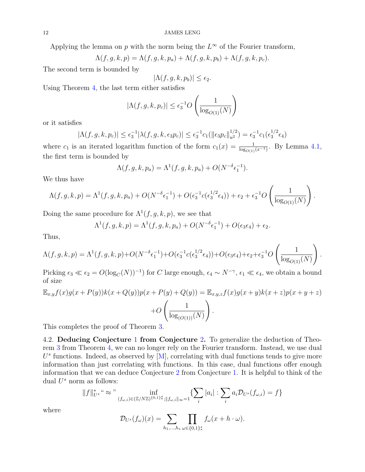12 JAMES LENG

Applying the lemma on p with the norm being the  $L^{\infty}$  of the Fourier transform,

$$
\Lambda(f,g,k,p) = \Lambda(f,g,k,p_a) + \Lambda(f,g,k,p_b) + \Lambda(f,g,k,p_c).
$$

The second term is bounded by

$$
|\Lambda(f,g,k,p_b)| \le \epsilon_2.
$$

Using Theorem [4,](#page-2-1) the last term either satisfies

$$
|\Lambda(f, g, k, p_c)| \le \epsilon_3^{-1} O\left(\frac{1}{\log_{O(1)}(N)}\right)
$$

or it satisfies

$$
|\Lambda(f,g,k,p_c)| \leq \epsilon_3^{-1} |\lambda(f,g,k,\epsilon_3 p_c)| \leq \epsilon_3^{-1} c_1 (\|\epsilon_3 p_c\|_{u^2}^{1/2}) = \epsilon_3^{-1} c_1 (\epsilon_3^{1/2} \epsilon_4)
$$

where  $c_1$  is an iterated logarithm function of the form  $c_1(x) = \frac{1}{\log_{O(1)}(x^{-1})}$ . By Lemma 4.[1,](#page-10-1) the first term is bounded by

$$
\Lambda(f,g,k,p_a) = \Lambda^1(f,g,k,p_a) + O(N^{-\delta} \epsilon_1^{-1}).
$$

We thus have

$$
\Lambda(f,g,k,p) = \Lambda^1(f,g,k,p_a) + O(N^{-\delta} \epsilon_1^{-1}) + O(\epsilon_3^{-1} c(\epsilon_3^{1/2} \epsilon_4)) + \epsilon_2 + \epsilon_3^{-1} O\left(\frac{1}{\log_{O(1)}(N)}\right).
$$

Doing the same procedure for  $\Lambda^1(f, g, k, p)$ , we see that

$$
\Lambda^1(f, g, k, p) = \Lambda^1(f, g, k, p_a) + O(N^{-\delta} \epsilon_1^{-1}) + O(\epsilon_3 \epsilon_4) + \epsilon_2.
$$

Thus,

$$
\Lambda(f,g,k,p) = \Lambda^1(f,g,k,p) + O(N^{-\delta} \epsilon_1^{-1}) + O(\epsilon_3^{-1} c(\epsilon_3^{1/2} \epsilon_4)) + O(\epsilon_3 \epsilon_4) + \epsilon_2 + \epsilon_3^{-1} O\left(\frac{1}{\log_{O(1)}(N)}\right).
$$

Picking  $\epsilon_3 \ll \epsilon_2 = O(\log_C(N))^{-1}$  for C large enough,  $\epsilon_4 \sim N^{-\gamma}$ ,  $\epsilon_1 \ll \epsilon_4$ , we obtain a bound of size

$$
\mathbb{E}_{x,y} f(x)g(x+P(y))k(x+Q(y))p(x+P(y)+Q(y)) = \mathbb{E}_{x,y,z} f(x)g(x+y)k(x+z)p(x+y+z) + O\left(\frac{1}{\log_{(O(1))}(N)}\right).
$$

This completes the proof of Theorem [3.](#page-2-0)

4.2. Deducing Conjecture [1](#page-3-0) from Conjecture [2](#page-4-0). To generalize the deduction of Theorem [3](#page-2-0) from Theorem [4,](#page-2-1) we can no longer rely on the Fourier transform. Instead, we use dual  $U^s$  functions. Indeed, as observed by  $[M]$ , correlating with dual functions tends to give more information than just correlating with functions. In this case, dual functions offer enough information that we can deduce Conjecture [2](#page-4-0) from Conjecture [1.](#page-3-0) It is helpful to think of the dual  $U^s$  norm as follows:

$$
||f||_{U^{s}}^{*} \approx \sum_{(f_{\omega,i}) \in (\mathbb{Z}/N\mathbb{Z})^{\{0,1\}^s_*}; ||f_{\omega,i}||_{\infty}=1} \{ \sum_{i} |a_i| : \sum_{i} a_i \mathcal{D}_{U^s}(f_{\omega,i}) = f \}
$$

where

$$
\mathcal{D}_{U^s}(f_{\omega})(x) = \sum_{h_1,\dots,h_s} \prod_{\omega \in \{0,1\}^s_*} f_{\omega}(x+h \cdot \omega).
$$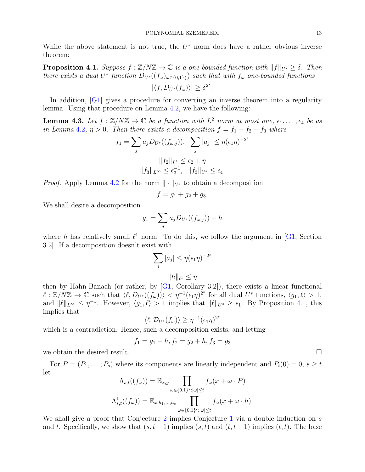While the above statement is not true, the  $U^s$  norm does have a rather obvious inverse theorem:

<span id="page-12-0"></span>**Proposition 4.1.** Suppose  $f : \mathbb{Z}/N\mathbb{Z} \to \mathbb{C}$  is a one-bounded function with  $||f||_{U^{s}} \geq \delta$ . Then there exists a dual U<sup>s</sup> function  $D_{U^{s}}((f_{\omega})_{\omega \in \{0,1\}^s})$  such that with  $f_{\omega}$  one-bounded functions

$$
|\langle f, D_{U^s}(f_\omega)\rangle| \geq \delta^{2^s}.
$$

In addition, [\[G1\]](#page-25-17) gives a procedure for converting an inverse theorem into a regularity lemma. Using that procedure on Lemma 4.[2,](#page-10-0) we have the following:

<span id="page-12-1"></span>**Lemma 4.3.** Let  $f : \mathbb{Z}/N\mathbb{Z} \to \mathbb{C}$  be a function with  $L^2$  norm at most one,  $\epsilon_1, \ldots, \epsilon_4$  be as in Lemma 4.[2](#page-10-0),  $\eta > 0$ . Then there exists a decomposition  $f = f_1 + f_2 + f_3$  where

s

$$
f_1 = \sum_j a_j D_{U^s}((f_{\omega,j})), \sum_j |a_j| \le \eta(\epsilon_1 \eta)^{-2}
$$

$$
||f_2||_{L^1} \le \epsilon_2 + \eta
$$

$$
||f_3||_{L^\infty} \le \epsilon_3^{-1}, \quad ||f_3||_{U^s} \le \epsilon_4.
$$

*Proof.* Apply Lemma [4](#page-10-0).2 for the norm  $\|\cdot\|_{U^s}$  to obtain a decomposition

$$
f = g_1 + g_2 + g_3.
$$

We shall desire a decomposition

$$
g_1 = \sum_j a_j D_{U^s}((f_{\omega,j})) + h
$$

where h has relatively small  $\ell^1$  norm. To do this, we follow the argument in [\[G1,](#page-25-17) Section 3.2]. If a decomposition doesn't exist with

$$
\sum_{j} |a_j| \le \eta(\epsilon_1 \eta)^{-2^s}
$$

$$
||h||_{\ell^1} \le \eta
$$

then by Hahn-Banach (or rather, by  $[G1, Corollary 3.2]$ ), there exists a linear functional  $\ell : \mathbb{Z}/N\mathbb{Z} \to \mathbb{C}$  such that  $\langle \ell, D_{U^s}((f_\omega)) \rangle < \eta^{-1}(\epsilon_1 \eta)^{2^s}$  for all dual  $U^s$  functions,  $\langle g_1, \ell \rangle > 1$ , and  $\|\ell\|_{L^{\infty}} \leq \eta^{-1}$ . However,  $\langle g_1, \ell \rangle > 1$  $\langle g_1, \ell \rangle > 1$  $\langle g_1, \ell \rangle > 1$  implies that  $\|\ell\|_{U^{s}} \geq \epsilon_1$ . By Proposition 4.1, this implies that

$$
\langle \ell, \mathcal{D}_{U^s}(f_\omega) \rangle \geq \eta^{-1}(\epsilon_1 \eta)^{2^s}
$$

which is a contradiction. Hence, such a decomposition exists, and letting

$$
f_1 = g_1 - h, f_2 = g_2 + h, f_3 = g_3
$$

we obtain the desired result.

For  $P = (P_1, \ldots, P_s)$  where its components are linearly independent and  $P_i(0) = 0, s \ge t$ let

$$
\Lambda_{s,t}((f_{\omega})) = \mathbb{E}_{x,y} \prod_{\omega \in \{0,1\}^s : |\omega| \le t} f_{\omega}(x + \omega \cdot P)
$$

$$
\Lambda_{s,t}^1((f_{\omega})) = \mathbb{E}_{x,h_1,\dots,h_s} \prod_{\omega \in \{0,1\}^t : |\omega| \le t} f_{\omega}(x + \omega \cdot h).
$$

We shall give a proof that Conjecture [2](#page-4-0) implies Conjecture [1](#page-3-0) via a double induction on s and t. Specifically, we show that  $(s, t - 1)$  implies  $(s, t)$  and  $(t, t - 1)$  implies  $(t, t)$ . The base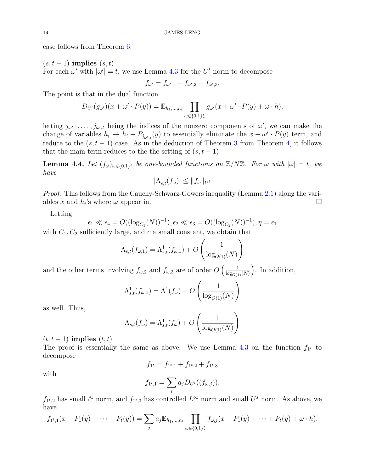case follows from Theorem [6.](#page-8-0)

 $(s, t - 1)$  implies  $(s, t)$ For each  $\omega'$  with  $|\omega'| = t$ , we use Lemma [4](#page-12-1).3 for the  $U^t$  norm to decompose

$$
f_{\omega'} = f_{\omega',1} + f_{\omega',2} + f_{\omega',3}.
$$

The point is that in the dual function

$$
D_{U^t}(g_{\omega})(x+\omega'\cdot P(y))=\mathbb{E}_{h_1,\dots,h_t}\prod_{\omega\in\{0,1\}^t_*}g_{\omega'}(x+\omega'\cdot P(y)+\omega\cdot h),
$$

letting  $j_{\omega',1},\ldots,j_{\omega',t}$  being the indices of the nonzero components of  $\omega'$ , we can make the change of variables  $h_i \mapsto h_i - P_{j_{\omega',i}}(y)$  to essentially eliminate the  $x + \omega' \cdot P(y)$  term, and reduce to the  $(s, t-1)$  case. As in the deduction of Theorem [3](#page-2-0) from Theorem [4,](#page-2-1) it follows that the main term reduces to the the setting of  $(s, t-1)$ .

**Lemma 4.4.** Let  $(f_\omega)_{\omega \in \{0,1\}^s}$  be one-bounded functions on  $\mathbb{Z}/N\mathbb{Z}$ . For  $\omega$  with  $|\omega| = t$ , we have

$$
|\Lambda^1_{s,t}(f_\omega)| \le \|f_\omega\|_{U^t}
$$

Proof. This follows from the Cauchy-Schwarz-Gowers inequality (Lemma 2.[1\)](#page-6-0) along the variables x and  $h_i$ 's where  $\omega$  appear in.

Letting

$$
\epsilon_1 \ll \epsilon_4 = O((\log_{C_1}(N))^{-1}), \epsilon_2 \ll \epsilon_3 = O((\log_{C_2}(N))^{-1}), \eta = \epsilon_1
$$

with  $C_1, C_2$  sufficiently large, and  $c$  a small constant, we obtain that

$$
\Lambda_{s,t}(f_{\omega,1}) = \Lambda_{s,t}^1(f_{\omega,1}) + O\left(\frac{1}{\log_{O(1)}(N)}\right)
$$

and the other terms involving  $f_{\omega,2}$  and  $f_{\omega,3}$  are of order  $O\left(\frac{1}{\log_{10}(\frac{1}{\omega})}\right)$  $log_{O(1)}(N)$ . In addition,

$$
\Lambda^1_{s,t}(f_{\omega,1}) = \Lambda^1(f_{\omega}) + O\left(\frac{1}{\log_{O(1)}(N)}\right)
$$

as well. Thus,

$$
\Lambda_{s,t}(f_{\omega}) = \Lambda_{s,t}^1(f_{\omega}) + O\left(\frac{1}{\log_{O(1)}(N)}\right)
$$

 $(t, t-1)$  implies  $(t, t)$ 

The proof is essentially the same as above. We use Lemma [4](#page-12-1).3 on the function  $f_{1<sup>t</sup>}$  to decompose

$$
f_{1t} = f_{1t,1} + f_{1t,2} + f_{1t,3}
$$

$$
f_{1t,1} = \sum_{i} a_j D_{Ut}((f_{\omega,j})),
$$

with

$$
f_{1^t,2}
$$
 has small  $\ell^1$  norm, and  $f_{1^t,3}$  has controlled  $L^{\infty}$  norm and small  $U^s$  norm. As above, we have

$$
f_{1^t,1}(x+P_1(y)+\cdots+P_t(y))=\sum_j a_j \mathbb{E}_{h_1,\ldots,h_t}\prod_{\omega\in\{0,1\}^t_*} f_{\omega,j}(x+P_1(y)+\cdots+P_t(y)+\omega\cdot h).
$$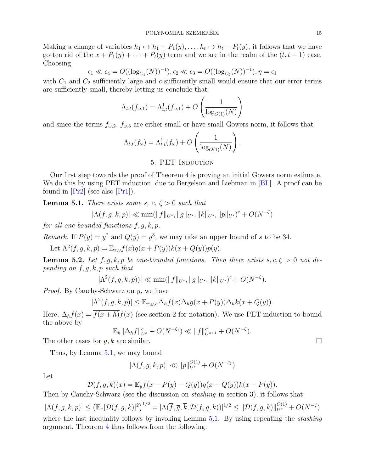Making a change of variables  $h_1 \mapsto h_1 - P_1(y), \ldots, h_t \mapsto h_t - P_t(y)$ , it follows that we have gotten rid of the  $x + P_1(y) + \cdots + P_t(y)$  term and we are in the realm of the  $(t, t-1)$  case. Choosing

$$
\epsilon_1 \ll \epsilon_4 = O((\log_{C_1}(N))^{-1}), \epsilon_2 \ll \epsilon_3 = O((\log_{C_2}(N))^{-1}), \eta = \epsilon_1
$$

with  $C_1$  and  $C_2$  sufficiently large and c sufficiently small would ensure that our error terms are sufficiently small, thereby letting us conclude that

$$
\Lambda_{t,t}(f_{\omega,1}) = \Lambda_{t,t}^1(f_{\omega,1}) + O\left(\frac{1}{\log_{O(1)}(N)}\right)
$$

and since the terms  $f_{\omega,2}$ ,  $f_{\omega,3}$  are either small or have small Gowers norm, it follows that

$$
\Lambda_{t,t}(f_{\omega}) = \Lambda_{t,t}^1(f_{\omega}) + O\left(\frac{1}{\log_{O(1)}(N)}\right).
$$

# 5. PET Induction

Our first step towards the proof of Theorem [4](#page-2-1) is proving an initial Gowers norm estimate. We do this by using PET induction, due to Bergelson and Liebman in [\[BL\]](#page-24-1). A proof can be found in  $[Pr2]$  (see also  $[Pr1]$ ).

<span id="page-14-0"></span>**Lemma 5.1.** There exists some s,  $c, \zeta > 0$  such that

$$
|\Lambda(f,g,k,p)| \ll \min(\|f\|_{U^s}, \|g\|_{U^s}, \|k\|_{U^s}, \|p\|_{U^s})^c + O(N^{-\zeta})
$$

for all one-bounded functions  $f, g, k, p$ .

Remark. If  $P(y) = y^2$  and  $Q(y) = y^3$ , we may take an upper bound of s to be 34.

Let  $\Lambda^{2}(f, g, k, p) = \mathbb{E}_{x,y} f(x)g(x + P(y))k(x + Q(y))p(y).$ 

<span id="page-14-1"></span>**Lemma 5.2.** Let  $f, q, k, p$  be one-bounded functions. Then there exists  $s, c, \zeta > 0$  not depending on  $f, g, k, p$  such that

 $|\Lambda^2(f,g,k,p))| \ll \min(||f||_{U^s}, ||g||_{U^s}, ||k||_{U^s})^c + O(N^{-\zeta}).$ 

Proof. By Cauchy-Schwarz on y, we have

$$
|\Lambda^{2}(f,g,k,p)| \leq \mathbb{E}_{x,y,h}\Delta_{h}f(x)\Delta_{h}g(x+P(y))\Delta_{h}k(x+Q(y)).
$$

Here,  $\Delta_h f(x) = \overline{f(x+h)} f(x)$  (see section 2 for notation). We use PET induction to bound the above by

$$
\mathbb{E}_h \|\Delta_h f\|_{U^s}^c + O(N^{-\zeta_1}) \ll \|f\|_{U^{s+1}}^{c'} + O(N^{-\zeta}).
$$

The other cases for  $g, k$  are similar.

Thus, by Lemma 5.[1,](#page-14-0) we may bound

$$
|\Lambda(f,g,k,p)| \ll ||p||_{U^s}^{O(1)} + O(N^{-\zeta_1})
$$

Let

$$
\mathcal{D}(f,g,k)(x) = \mathbb{E}_y f(x - P(y) - Q(y))g(x - Q(y))k(x - P(y)).
$$

Then by Cauchy-Schwarz (see the discussion on stashing in section 3), it follows that

 $|\Lambda(f,g,k,p)| \leq (\mathbb{E}_x |D(f,g,k)|^2)^{1/2} = |\Lambda(\overline{f},\overline{g},\overline{k},\mathcal{D}(f,g,k))|^{1/2} \leq ||\mathcal{D}(f,g,k)||_{U^s}^{O(1)} + O(N^{-\zeta})$ where the last inequality follows by invoking Lemma 5.[1.](#page-14-0) By using repeating the *stashing* argument, Theorem [4](#page-2-1) thus follows from the following: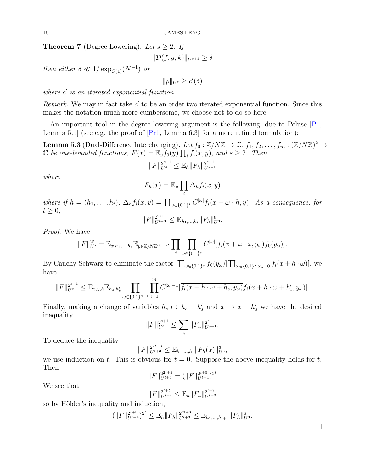<span id="page-15-1"></span>**Theorem 7** (Degree Lowering). Let  $s \geq 2$ . If

$$
\|\mathcal{D}(f,g,k)\|_{U^{s+1}} \ge \delta
$$

then either  $\delta \ll 1/\exp_{O(1)}(N^{-1})$  or

$$
||p||_{U^s} \ge c'(\delta)
$$

where  $c'$  is an iterated exponential function.

Remark. We may in fact take  $c'$  to be an order two iterated exponential function. Since this makes the notation much more cumbersome, we choose not to do so here.

An important tool in the degree lowering argument is the following, due to Peluse [\[P1,](#page-25-3) Lemma 5.1] (see e.g. the proof of  $[Pr1, Lemma 6.3]$  for a more refined formulation):

<span id="page-15-0"></span>**Lemma 5.3** (Dual-Difference Interchanging). Let  $f_0 : \mathbb{Z}/N\mathbb{Z} \to \mathbb{C}$ ,  $f_1, f_2, \ldots, f_m : (\mathbb{Z}/N\mathbb{Z})^2 \to$  $\mathbb C$  be one-bounded functions,  $F(x) = \mathbb E_y f_0(y) \prod_i f_i(x, y)$ , and  $s \geq 2$ . Then

$$
||F||_{U^{s}}^{2^{s+1}} \leq \mathbb{E}_{h}||F_{h}||_{U^{s-1}}^{2^{s-1}}
$$

where

$$
F_h(x) = \mathbb{E}_y \prod_i \Delta_h f_i(x, y)
$$

where if  $h = (h_1, \ldots, h_t)$ ,  $\Delta_h f_i(x, y) = \prod_{\omega \in \{0,1\}^t} C^{|\omega|} f_i(x + \omega \cdot h, y)$ . As a consequence, for  $t \geq 0$ , 2  $.9 + 13$ 8

$$
||F||_{U^{t+3}}^{2^{2t+3}} \leq \mathbb{E}_{h_1,\ldots,h_t} ||F_h||_{U^3}^8.
$$

Proof. We have

$$
||F||_{U^{s}}^{2^{s}} = \mathbb{E}_{x,h_1,...,h_s} \mathbb{E}_{y \in \mathbb{Z}/N\mathbb{Z}^{\{0,1\}^{s}}}\prod_{i} \prod_{\omega \in \{0,1\}^{s}} C^{|\omega|} [f_i(x+\omega \cdot x, y_{\omega}) f_0(y_{\omega})].
$$

By Cauchy-Schwarz to eliminate the factor  $\prod_{\omega \in \{0,1\}^s} f_0(y_\omega) \prod_{\omega \in \{0,1\}^s : \omega_s = 0} f_i(x + h \cdot \omega)$ , we have

$$
||F||_{U^{s}}^{2^{s+1}} \leq \mathbb{E}_{x,y,h} \mathbb{E}_{h_s,h_s'} \prod_{\omega \in \{0,1\}^{s-1}} \prod_{i=1}^{m} C^{|\omega|-1} [\overline{f_i(x+h\cdot\omega+h_s,y_{\omega})} f_i(x+h\cdot\omega+h_s',y_{\omega})].
$$

Finally, making a change of variables  $h_s \mapsto h_s - h'_s$  and  $x \mapsto x - h'_s$  we have the desired inequality

$$
||F||_{U^s}^{2^{s+1}} \leq \sum_h ||F_h||_{U^{s-1}}^{2^{s-1}}.
$$

To deduce the inequality

$$
||F||_{U^{t+3}}^{2^{2t+3}} \leq \mathbb{E}_{h_1,\dots,h_t} ||F_h(x)||_{U^3}^8,
$$

we use induction on t. This is obvious for  $t = 0$ . Suppose the above inequality holds for t. Then

$$
||F||_{U^{t+4}}^{2^{2t+5}} = (||F||_{U^{t+4}}^{2^{t+5}})^{2^t}
$$

We see that

$$
||F||_{U^{t+4}}^{2^{t+5}} \leq \mathbb{E}_h ||F_h||_{U^{t+3}}^{2^{t+3}}
$$

so by Hölder's inequality and induction,

$$
(\|F\|_{U^{t+4}}^{2^{t+5}})^{2^t} \leq \mathbb{E}_h \|F_h\|_{U^{t+3}}^{2^{2t+3}} \leq \mathbb{E}_{h_1,\ldots,h_{t+1}} \|F_h\|_{U^3}^8.
$$

 $\Box$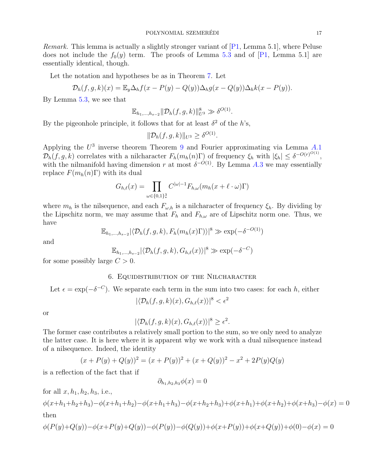Remark. This lemma is actually a slightly stronger variant of [\[P1,](#page-25-3) Lemma 5.1], where Peluse does not include the  $f_0(y)$  term. The proofs of Lemma [5](#page-15-0).3 and of [\[P1,](#page-25-3) Lemma 5.1] are essentially identical, though.

Let the notation and hypotheses be as in Theorem [7.](#page-15-1) Let

$$
\mathcal{D}_h(f,g,k)(x) = \mathbb{E}_y \Delta_h f(x - P(y) - Q(y)) \Delta_h g(x - Q(y)) \Delta_h k(x - P(y)).
$$

By Lemma 5.[3,](#page-15-0) we see that

$$
\mathbb{E}_{h_1,\dots,h_{s-2}}||\mathcal{D}_h(f,g,k)||_{U^3}^8 \gg \delta^{O(1)}.
$$

By the pigeonhole principle, it follows that for at least  $\delta^2$  of the h's,

$$
\|\mathcal{D}_h(f,g,k)\|_{U^3}\geq \delta^{O(1)}.
$$

Applying the  $U^3$  inverse theorem Theorem [9](#page-22-0) and Fourier approximating via Lemma [A.](#page-21-0)1  $\mathcal{D}_h(f,g,k)$  correlates with a nilcharacter  $F_h(m_h(n)\Gamma)$  of frequency  $\xi_h$  with  $|\xi_h| \leq \delta^{-O(r)^{O(1)}}$ , with the nilmanifold having dimension r at most  $\delta^{-O(1)}$ . By Lemma [A.](#page-22-1)3 we may essentially replace  $F(m_h(n)\Gamma)$  with its dual

$$
G_{h,\ell}(x) = \prod_{\omega \in \{0,1\}^3_*} C^{|\omega|-1} F_{h,\omega}(m_h(x+\ell \cdot \omega)\Gamma)
$$

where  $m_h$  is the nilsequence, and each  $F_{\omega,h}$  is a nilcharacter of frequency  $\xi_h$ . By dividing by the Lipschitz norm, we may assume that  $F_h$  and  $F_{h,\omega}$  are of Lipschitz norm one. Thus, we have

$$
\mathbb{E}_{h_1,\ldots,h_{s-2}} |\langle \mathcal{D}_h(f,g,k), F_h(m_h(x)\Gamma) \rangle|^8 \gg \exp(-\delta^{-O(1)})
$$

and

$$
\mathbb{E}_{h_1,\dots,h_{s-2}} |\langle \mathcal{D}_h(f,g,k), G_{h,\ell}(x) \rangle|^8 \gg \exp(-\delta^{-C})
$$

for some possibly large  $C > 0$ .

## 6. Equidistribution of the Nilcharacter

Let  $\epsilon = \exp(-\delta^{-C})$ . We separate each term in the sum into two cases: for each h, either

 $|\langle \mathcal{D}_h(f, g, k)(x), G_{h,\ell}(x)\rangle|^8 < \epsilon^2$ 

or

$$
|\langle \mathcal{D}_h(f,g,k)(x),G_{h,\ell}(x)\rangle|^8 \ge \epsilon^2.
$$

The former case contributes a relatively small portion to the sum, so we only need to analyze the latter case. It is here where it is apparent why we work with a dual nilsequence instead of a nilsequence. Indeed, the identity

$$
(x + P(y) + Q(y))^{2} = (x + P(y))^{2} + (x + Q(y))^{2} - x^{2} + 2P(y)Q(y)
$$

is a reflection of the fact that if

$$
\partial_{h_1,h_2,h_3}\phi(x)=0
$$

for all  $x, h_1, h_2, h_3$ , i.e.,

$$
\phi(x+h_1+h_2+h_3) - \phi(x+h_1+h_2) - \phi(x+h_1+h_3) - \phi(x+h_2+h_3) + \phi(x+h_1) + \phi(x+h_2) + \phi(x+h_3) - \phi(x) = 0
$$
 then

$$
\phi(P(y)+Q(y)) - \phi(x+P(y)+Q(y)) - \phi(P(y)) - \phi(Q(y)) + \phi(x+P(y)) + \phi(x+Q(y)) + \phi(0) - \phi(x) = 0
$$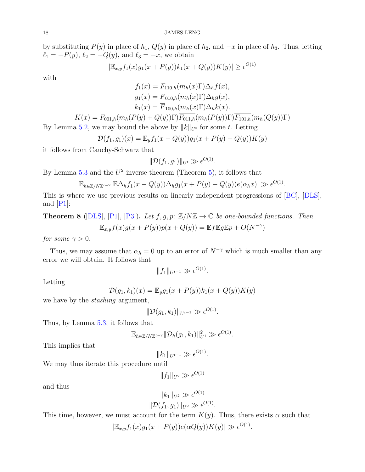by substituting  $P(y)$  in place of  $h_1$ ,  $Q(y)$  in place of  $h_2$ , and  $-x$  in place of  $h_3$ . Thus, letting  $\ell_1 = -P(y), \ell_2 = -Q(y),$  and  $\ell_3 = -x$ , we obtain

$$
|\mathbb{E}_{x,y} f_1(x)g_1(x+P(y))k_1(x+Q(y))K(y)| \ge \epsilon^{O(1)}
$$

with

$$
f_1(x) = F_{110,h}(m_h(x)\Gamma)\Delta_h f(x),
$$
  
\n
$$
g_1(x) = \overline{F}_{010,h}(m_h(x)\Gamma)\Delta_h g(x),
$$
  
\n
$$
k_1(x) = \overline{F}_{100,h}(m_h(x)\Gamma)\Delta_h k(x).
$$
  
\n
$$
K(x) = F_{001,h}(m_h(P(y) + Q(y))\Gamma)\overline{F_{011,h}}(m_h(P(y))\Gamma)\overline{F_{101,h}}(m_h(Q(y))\Gamma)
$$

By Lemma 5.[2,](#page-14-1) we may bound the above by  $||k||_{U^t}$  for some t. Letting

$$
\mathcal{D}(f_1, g_1)(x) = \mathbb{E}_y f_1(x - Q(y))g_1(x + P(y) - Q(y))K(y)
$$

it follows from Cauchy-Schwarz that

$$
\|\mathcal{D}(f_1,g_1)\|_{U^t}\gg \epsilon^{O(1)}.
$$

By Lemma [5](#page-15-0).3 and the  $U^2$  inverse theorem (Theorem [5\)](#page-6-1), it follows that

$$
\mathbb{E}_{h \in \mathbb{Z}/N\mathbb{Z}^{t-2}} |\mathbb{E}\Delta_h f_1(x - Q(y))\Delta_h g_1(x + P(y) - Q(y))e(\alpha_h x)| \gg \epsilon^{O(1)}.
$$

This is where we use previous results on linearly independent progressions of [\[BC\]](#page-24-2), [\[DLS\]](#page-24-3), and  $[P1]$ :

<span id="page-17-0"></span>**Theorem 8** ([\[DLS\]](#page-24-3), [\[P1\]](#page-25-3), [\[P3\]](#page-26-10)). Let  $f, g, p: \mathbb{Z}/N\mathbb{Z} \to \mathbb{C}$  be one-bounded functions. Then  $\mathbb{E}_{x,y}f(x)g(x+P(y))p(x+Q(y)) = \mathbb{E}f\mathbb{E}g\mathbb{E}p + O(N^{-\gamma})$ 

for some  $\gamma > 0$ .

Thus, we may assume that  $\alpha_h = 0$  up to an error of  $N^{-\gamma}$  which is much smaller than any error we will obtain. It follows that

$$
||f_1||_{U^{t-1}} \gg \epsilon^{O(1)}.
$$

Letting

$$
\mathcal{D}(g_1, k_1)(x) = \mathbb{E}_y g_1(x + P(y))k_1(x + Q(y))K(y)
$$

we have by the stashing argument,

 $||\mathcal{D}(g_1, k_1)||_{U^{t-1}} \gg \epsilon^{O(1)}.$ 

Thus, by Lemma 5.[3,](#page-15-0) it follows that

$$
\mathbb{E}_{h\in\mathbb{Z}/N\mathbb{Z}^{t-2}}\|\mathcal{D}_h(g_1,k_1)\|_{U^1}^2\gg\epsilon^{O(1)}.
$$

This implies that

$$
||k_1||_{U^{t-1}} \gg \epsilon^{O(1)}
$$

.

We may thus iterate this procedure until

 $||f_1||_{U^2} \gg \epsilon^{O(1)}$ 

and thus

$$
||k_1||_{U^2} \gg \epsilon^{O(1)} ||\mathcal{D}(f_1, g_1)||_{U^2} \gg \epsilon^{O(1)}.
$$

This time, however, we must account for the term  $K(y)$ . Thus, there exists  $\alpha$  such that

$$
|\mathbb{E}_{x,y}f_1(x)g_1(x+P(y))e(\alpha Q(y))K(y)| \gg \epsilon^{O(1)}.
$$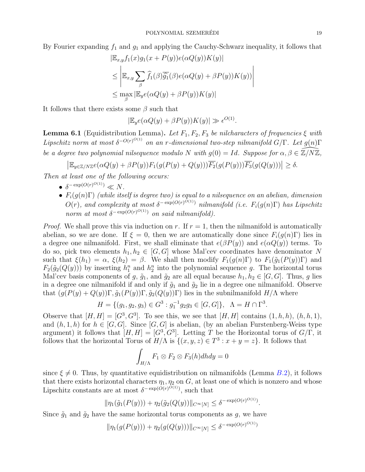By Fourier expanding  $f_1$  and  $g_1$  and applying the Cauchy-Schwarz inequality, it follows that

$$
|\mathbb{E}_{x,y} f_1(x) g_1(x + P(y)) e(\alpha Q(y)) K(y)|
$$
  
\n
$$
\leq \left| \mathbb{E}_{x,y} \sum_{\beta} \widehat{f}_1(\beta) \overline{\widehat{g}_1}(\beta) e(\alpha Q(y) + \beta P(y)) K(y)) \right|
$$
  
\n
$$
\leq \max_{\beta} |\mathbb{E}_y e(\alpha Q(y) + \beta P(y)) K(y)|
$$

It follows that there exists some  $\beta$  such that

$$
|\mathbb{E}_y e(\alpha Q(y) + \beta P(y))K(y)| \gg \epsilon^{O(1)}.
$$

<span id="page-18-0"></span>**Lemma 6.1** (Equidistribution Lemma). Let  $F_1, F_2, F_3$  be nilcharacters of frequencies  $\xi$  with Lipschitz norm at most  $\delta^{-O(r)^{O(1)}}$  on an r-dimensional two-step nilmanifold  $G/\Gamma$ . Let  $g(n)\Gamma$ be a degree two polynomial nilsequence modulo N with  $g(0) = Id$ . Suppose for  $\alpha, \beta \in \widehat{\mathbb{Z}/N\mathbb{Z}}$ ,

$$
\left| \mathbb{E}_{y \in \mathbb{Z}/N\mathbb{Z}} e(\alpha Q(y) + \beta P(y)) F_1(g(P(y) + Q(y))) \overline{F_2}(g(P(y))) \overline{F_3}(g(Q(y))) \right| \ge \delta.
$$

Then at least one of the following occurs:

- $\delta^{-\exp(O(r)^{O(1)})} \ll N$ .
- $F_i(g(n)\Gamma)$  (while itself is degree two) is equal to a nilsequence on an abelian, dimension  $O(r)$ , and complexity at most  $\delta^{-\exp(O(r)^{O(1)})}$  nilmanifold (i.e.  $F_i(g(n)\Gamma)$  has Lipschitz norm at most  $\delta^{-\exp(O(r)^{O(1)})}$  on said nilmanifold).

*Proof.* We shall prove this via induction on r. If  $r = 1$ , then the nilmanifold is automatically abelian, so we are done. If  $\xi = 0$ , then we are automatically done since  $F_i(g(n)\Gamma)$  lies in a degree one nilmanifold. First, we shall eliminate that  $e(\beta P(y))$  and  $e(\alpha Q(y))$  terms. To do so, pick two elements  $h_1, h_2 \in [G, G]$  whose Mal'cev coordinates have denominator N such that  $\xi(h_1) = \alpha$ ,  $\xi(h_2) = \beta$ . We shall then modify  $F_1(g(n)\Gamma)$  to  $F_1(\tilde{g}_1(P(y))\Gamma)$  and  $F_2(\tilde{g}_2(Q(y)))$  by inserting  $h_1^n$  and  $h_2^n$  into the polynomial sequence g. The horizontal torus Mal'cev basis components of g,  $\tilde{g}_1$ , and  $\tilde{g}_2$  are all equal because  $h_1, h_2 \in [G, G]$ . Thus, g lies in a degree one nilmanifold if and only if  $\tilde{g}_1$  and  $\tilde{g}_2$  lie in a degree one nilmanifold. Observe that  $(g(P(y) + Q(y))\Gamma, \tilde{g}_1(P(y))\Gamma, \tilde{g}_2(Q(y))\Gamma)$  lies in the subnilmanifold  $H/\Lambda$  where

$$
H = \{ (g_1, g_2, g_3) \in G^3 : g_1^{-1} g_2 g_3 \in [G, G] \}, \ \Lambda = H \cap \Gamma^3.
$$

Observe that  $[H, H] = [G^3, G^3]$ . To see this, we see that  $[H, H]$  contains  $(1, h, h)$ ,  $(h, h, 1)$ , and  $(h, 1, h)$  for  $h \in [G, G]$ . Since  $[G, G]$  is abelian, (by an abelian Furstenberg-Weiss type argument) it follows that  $[H, H] = [G^3, G^3]$ . Letting T be the Horizontal torus of  $G/\Gamma$ , it follows that the horizontal Torus of  $H/\Lambda$  is  $\{(x, y, z) \in T^3 : x + y = z\}$ . It follows that

$$
\int_{H/\Lambda} F_1 \otimes F_2 \otimes F_3(h) dh dy = 0
$$

since  $\xi \neq 0$ . Thus, by quantitative equidistribution on nilmanifolds (Lemma [B.](#page-24-8)2), it follows that there exists horizontal characters  $\eta_1$ ,  $\eta_2$  on G, at least one of which is nonzero and whose Lipschitz constants are at most  $\delta^{-\exp(O(r)^{O(1)})}$ , such that

$$
\|\eta_1(\tilde{g}_1(P(y))) + \eta_2(\tilde{g}_2(Q(y))\|_{C^{\infty}[N]} \leq \delta^{-\exp(O(r)^{O(1)})}.
$$

Since  $\tilde{g}_1$  and  $\tilde{g}_2$  have the same horizontal torus components as g, we have

$$
\|\eta_1(g(P(y))) + \eta_2(g(Q(y)))\|_{C^{\infty}[N]} \leq \delta^{-\exp(O(r)^{O(1)})}
$$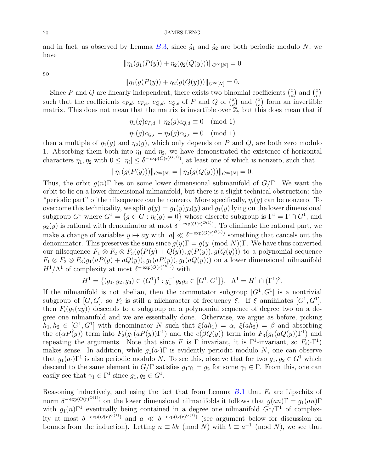and in fact, as observed by Lemma  $B.3$  $B.3$ , since  $\tilde{g}_1$  and  $\tilde{g}_2$  are both periodic modulo N, we have

$$
\|\eta_1(\tilde{g}_1(P(y)) + \eta_2(\tilde{g}_2(Q(y)))\|_{C^{\infty}[N]} = 0
$$

so

$$
\|\eta_1(g(P(y)) + \eta_2(g(Q(y)))\|_{C^{\infty}[N]} = 0.
$$

Since P and Q are linearly independent, there exists two binomial coefficients  $\binom{x}{d}$  $\binom{x}{d}$  and  $\binom{x}{e}$  $_{e}^{x}$ such that the coefficients  $c_{P,d}$ ,  $c_{P,e}$ ,  $c_{Q,d}$ ,  $c_{Q,e}$  of P and Q of  $\binom{x}{d}$  $\binom{x}{d}$  and  $\binom{x}{e}$  $e^x$  form an invertible matrix. This does not mean that the matrix is invertible over  $\mathbb{Z}$ , but this does mean that if

$$
\eta_1(g)c_{P,d} + \eta_2(g)c_{Q,d} \equiv 0 \pmod{1}
$$

$$
\eta_1(g)c_{Q,e} + \eta_2(g)c_{Q,e} \equiv 0 \pmod{1}
$$

then a multiple of  $\eta_1(g)$  and  $\eta_2(g)$ , which only depends on P and Q, are both zero modulo 1. Absorbing them both into  $\eta_1$  and  $\eta_2$ , we have demonstrated the existence of horizontal characters  $\eta_1, \eta_2$  with  $0 \leq |\eta_i| \leq \delta^{-\exp(O(r)^{O(1)})}$ , at least one of which is nonzero, such that

$$
\|\eta_1(g(P(y)))\|_{C^{\infty}[N]} = \|\eta_2(g(Q(y)))\|_{C^{\infty}[N]} = 0.
$$

Thus, the orbit  $g(n)$ Γ lies on some lower dimensional submanifold of  $G/\Gamma$ . We want the orbit to lie on a lower dimensional nilmanifold, but there is a slight technical obstruction: the "periodic part" of the nilsequence can be nonzero. More specifically,  $\eta_i(q)$  can be nonzero. To overcome this technicality, we split  $g(y) = g_1(y)g_2(y)$  and  $g_1(y)$  lying on the lower dimensional subgroup  $G^1$  where  $G^1 = \{ g \in G : \eta_i(g) = 0 \}$  whose discrete subgroup is  $\Gamma^1 = \Gamma \cap G^1$ , and  $g_2(y)$  is rational with denominator at most  $\delta^{-\exp(O(r)^{O(1)})}$ . To eliminate the rational part, we make a change of variables  $y \mapsto ay$  with  $|a| \ll \delta^{-\exp(O(r)^{O(1)})}$  something that cancels out the denominator. This preserves the sum since  $g(y)\Gamma = g(y \pmod{N})\Gamma$ . We have thus converted our nilsequence  $F_1 \otimes F_2 \otimes F_3(g(P(y) + Q(y)), g(P(y)), g(Q(y)))$  to a polynomial sequence  $F_1 \otimes F_2 \otimes F_3(g_1(aP(y) + aQ(y)), g_1(aP(y)), g_1(aQ(y)))$  on a lower dimensional nilmanifold  $H^1/\Lambda^1$  of complexity at most  $\delta^{-\exp(O(r)^{O(1)})}$  with

$$
H^{1} = \{ (g_1, g_2, g_3) \in (G^{1})^{3} : g_1^{-1} g_2 g_3 \in [G^{1}, G^{1}], \Lambda^{1} = H^{1} \cap (\Gamma^{1})^{3}.
$$

If the nilmanifold is not abelian, then the commutator subgroup  $[G^1, G^1]$  is a nontrivial subgroup of  $[G, G]$ , so  $F_i$  is still a nilcharacter of frequency  $\xi$ . If  $\xi$  annihilates  $[G^1, G^1]$ , then  $F_i(q_1(ay))$  descends to a subgroup on a polynomial sequence of degree two on a degree one nilmanifold and we are essentially done. Otherwise, we argue as before, picking  $h_1, h_2 \in [G^1, G^1]$  with denominator N such that  $\xi(ah_1) = \alpha$ ,  $\xi(ah_2) = \beta$  and absorbing the  $e(\alpha P(y))$  term into  $F_2(g_1(aP(y))\Gamma^1)$  and the  $e(\beta Q(y))$  term into  $F_3(g_1(aQ(y))\Gamma^1)$  and repeating the arguments. Note that since F is  $\Gamma$  invariant, it is  $\Gamma^1$ -invariant, so  $F_i(\cdot \Gamma^1)$ makes sense. In addition, while  $g_1(a)$ Γ is evidently periodic modulo N, one can observe that  $g_1(a \cdot) \Gamma^1$  is also periodic modulo N. To see this, observe that for two  $g_1, g_2 \in G^1$  which descend to the same element in  $G/\Gamma$  satisfies  $g_1\gamma_1 = g_2$  for some  $\gamma_1 \in \Gamma$ . From this, one can easily see that  $\gamma_1 \in \Gamma^1$  since  $g_1, g_2 \in G^1$ .

Reasoning inductively, and using the fact that from Lemma  $B.1$  $B.1$  that  $F_i$  are Lipschitz of norm  $\delta^{-\exp(O(r)^{O(1)})}$  on the lower dimensional nilmanifolds it follows that  $g(an)\Gamma = g_1(an)\Gamma$ with  $g_1(n)\Gamma^1$  eventually being contained in a degree one nilmanifold  $G^1/\Gamma^1$  of complexity at most  $\delta^{-\exp(O(r)^{O(1)})}$  and  $a \ll \delta^{-\exp(O(r)^{O(1)})}$  (see argument below for discussion on bounds from the induction). Letting  $n \equiv bk \pmod{N}$  with  $b \equiv a^{-1} \pmod{N}$ , we see that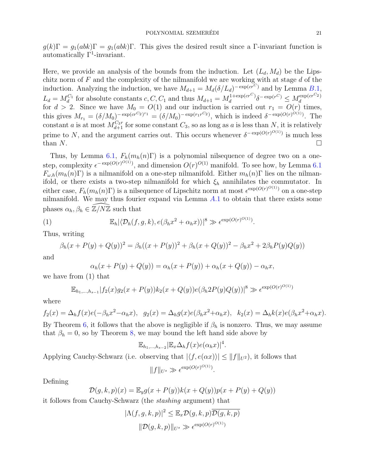$q(k)\Gamma = q_1(abk)\Gamma = q_1(abk)\Gamma$ . This gives the desired result since a Γ-invariant function is automatically  $\Gamma^1$ -invariant.

Here, we provide an analysis of the bounds from the induction. Let  $(L_d, M_d)$  be the Lipschitz norm of  $F$  and the complexity of the nilmanifold we are working with at stage  $d$  of the induction. Analyzing the induction, we have  $M_{d+1} = M_d(\delta/L_d)^{-\exp(cf)}$  and by Lemma  $B.1$  $B.1$ ,  $L_d = M_d^{C_1}$  for absolute constants  $c, C, C_1$  and thus  $M_{d+1} = M_d^{1+\exp(cr^C)}$  $\frac{d}{d}e^{-\exp(r^C)}\delta^{-\exp(r^C)} \leq M_d^{\exp(cr^{C_2})}$  $d = M_d$  for d  $> 2$ . Since we have  $M_0 = O(1)$  and our induction is carried out  $r_1 = O(r)$  times, this gives  $M_{r_1} = (\delta/M_0)^{-\exp(c r^{C_2})^{r_1}} = (\delta/M_0)^{-\exp(r_1 r^{C_2})}$ , which is indeed  $\delta^{-\exp(O(r)^{O(1)})}$ . The constant a is at most  $M_{d+1}^{C_3r}$  for some constant  $C_3$ , so as long as a is less than N, it is relatively prime to N, and the argument carries out. This occurs whenever  $\delta^{-\exp(O(r)^{O(1)})}$  is much less than  $N$ .

Thus, by Lemma 6.[1,](#page-18-0)  $F_h(m_h(n)\Gamma)$  is a polynomial nilsequence of degree two on a onestep, complexity  $\epsilon^{-\exp(O(r)^{O(1)})}$ , and dimension  $O(r)^{O(1)}$  manifold. To see how, by Lemma [6](#page-18-0).1  $F_{\omega,h}(m_h(n)\Gamma)$  is a nilmanifold on a one-step nilmanifold. Either  $m_h(n)\Gamma$  lies on the nilmanifold, or there exists a two-step nilmanifold for which  $\xi_h$  annihilates the commutator. In either case,  $F_h(m_h(n)\Gamma)$  is a nilsequence of Lipschitz norm at most  $\epsilon^{\exp(O(r)^{O(1)})}$  on a one-step nilmanifold. We may thus fourier expand via Lemma [A.](#page-21-0)1 to obtain that there exists some phases  $\alpha_h, \beta_h \in \widehat{\mathbb{Z}}/N\overline{\mathbb{Z}}$  such that

(1) 
$$
\mathbb{E}_h |\langle \mathcal{D}_h(f,g,k), e(\beta_h x^2 + \alpha_h x) \rangle|^8 \gg \epsilon^{\exp(O(r)^{O(1)})}.
$$

Thus, writing

$$
\beta_h(x + P(y) + Q(y))^2 = \beta_h((x + P(y))^2 + \beta_h(x + Q(y))^2 - \beta_h x^2 + 2\beta_h P(y)Q(y))
$$

and

$$
\alpha_h(x + P(y) + Q(y)) = \alpha_h(x + P(y)) + \alpha_h(x + Q(y)) - \alpha_h x,
$$

we have from (1) that

$$
\mathbb{E}_{h_1,\dots,h_{s-1}}|f_2(x)g_2(x+P(y))k_2(x+Q(y))e(\beta_h 2P(y)Q(y))|^8 \gg \epsilon^{\exp(O(r)^{O(1)})}
$$

where

$$
f_2(x) = \Delta_h f(x)e(-\beta_h x^2 - \alpha_h x), \quad g_2(x) = \Delta_h g(x)e(\beta_h x^2 + \alpha_h x), \quad k_2(x) = \Delta_h k(x)e(\beta_h x^2 + \alpha_h x).
$$

By Theorem [6,](#page-8-0) it follows that the above is negligible if  $\beta_h$  is nonzero. Thus, we may assume that  $\beta_h = 0$ , so by Theorem [8,](#page-17-0) we may bound the left hand side above by

$$
\mathbb{E}_{h_1,\ldots,h_{s-2}}|\mathbb{E}_x\Delta_h f(x)e(\alpha_h x)|^4.
$$

Applying Cauchy-Schwarz (i.e. observing that  $|\langle f, e(\alpha x) \rangle| \leq ||f||_{U^2}$ ), it follows that

$$
||f||_{U^s} \gg \epsilon^{\exp(O(r)^{O(1)})}.
$$

Defining

$$
\mathcal{D}(g,k,p)(x) = \mathbb{E}_y g(x+P(y))k(x+Q(y))p(x+P(y)+Q(y))
$$

it follows from Cauchy-Schwarz (the stashing argument) that

$$
|\Lambda(f, g, k, p)|^2 \leq \mathbb{E}_x \mathcal{D}(g, k, p) \overline{\mathcal{D}(g, k, p)}
$$

$$
||\mathcal{D}(g, k, p)||_{U^s} \gg \epsilon^{\exp(O(r)^{O(1)})}
$$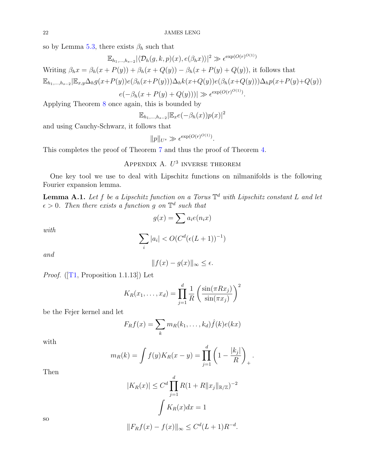so by Lemma 5.[3,](#page-15-0) there exists  $\beta_h$  such that

$$
\mathbb{E}_{h_1,\ldots,h_{s-2}} |\langle \mathcal{D}_h(g,k,p)(x), e(\beta_h x) \rangle|^2 \gg \epsilon^{\exp(O(r)^{O(1)})}
$$

Writing  $\beta_h x = \beta_h (x + P(y)) + \beta_h (x + Q(y)) - \beta_h (x + P(y) + Q(y))$ , it follows that  $\mathbb{E}_{h_1,\dots,h_{s-2}}$  $\mathbb{E}_{x,y}\Delta_h g(x+P(y))e(\beta_h(x+P(y)))\Delta_h k(x+Q(y))e(\beta_h(x+Q(y)))\Delta_h p(x+P(y)+Q(y))$  $e(-\beta_h(x+P(y)+Q(y)))|\gg e^{\exp(O(r)^{O(1)})}.$ 

Applying Theorem [8](#page-17-0) once again, this is bounded by

$$
\mathbb{E}_{h_1,\dots,h_{s-2}}|\mathbb{E}_xe(-\beta_h(x))p(x)|^2
$$

and using Cauchy-Schwarz, it follows that

$$
||p||_{U^s} \gg \epsilon^{\exp(O(r)^{O(1)})}
$$

.

This completes the proof of Theorem [7](#page-15-1) and thus the proof of Theorem [4.](#page-2-1)

# APPENDIX A.  $U^3$  INVERSE THEOREM

One key tool we use to deal with Lipschitz functions on nilmanifolds is the following Fourier expansion lemma.

<span id="page-21-0"></span>**Lemma A.1.** Let f be a Lipschitz function on a Torus  $\mathbb{T}^d$  with Lipschitz constant L and let  $\epsilon > 0$ . Then there exists a function g on  $\mathbb{T}^d$  such that

$$
g(x) = \sum a_i e(n_i x)
$$

with

$$
\sum_i |a_i| < O(C^d(\epsilon(L+1))^{-1})
$$

and

$$
||f(x) - g(x)||_{\infty} \le \epsilon.
$$

*Proof.* ( $[T1,$  Proposition 1.1.13) Let

$$
K_R(x_1,\ldots,x_d) = \prod_{j=1}^d \frac{1}{R} \left( \frac{\sin(\pi R x_j)}{\sin(\pi x_j)} \right)^2
$$

be the Fejer kernel and let

$$
F_Rf(x) = \sum_k m_R(k_1,\ldots,k_d)\hat{f}(k)e(kx)
$$

with

$$
m_R(k) = \int f(y) K_R(x - y) = \prod_{j=1}^d \left( 1 - \frac{|k_j|}{R} \right)_+.
$$

Then

$$
|K_R(x)| \le C^d \prod_{j=1}^d R(1 + R \|x_j\|_{\mathbb{R}/\mathbb{Z}})^{-2}
$$

$$
\int K_R(x)dx = 1
$$

$$
||F_Rf(x) - f(x)||_{\infty} \le C^d (L+1)R^{-d}.
$$

so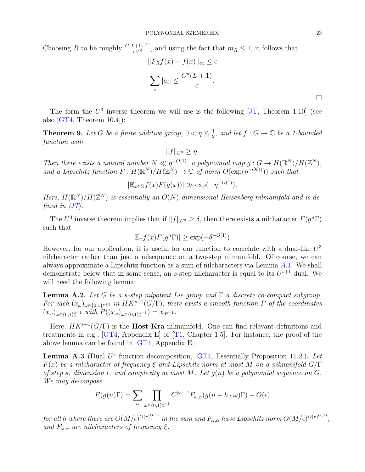Choosing R to be roughly  $\frac{C(L+1)^{1/d}}{\epsilon^{1/d}}$ , and using the fact that  $m_R \leq 1$ , it follows that

$$
||F_Rf(x) - f(x)||_{\infty} \le \epsilon
$$
  

$$
\sum_i |a_i| \le \frac{C^d(L+1)}{\epsilon}.
$$

The form the  $U^3$  inverse theorem we will use is the following  $[JT,$  Theorem 1.10 (see also [\[GT4,](#page-25-6) Theorem 10.4]):

<span id="page-22-0"></span>**Theorem 9.** Let G be a finite additive group,  $0 < \eta \leq \frac{1}{2}$  $\frac{1}{2}$ , and let  $f: G \to \mathbb{C}$  be a 1-bounded function with

 $||f||_{U^3} > \eta.$ 

Then there exists a natural number  $N \ll \eta^{-O(1)}$ , a polynomial map  $g: G \to H(\mathbb{R}^N)/H(\mathbb{Z}^N)$ , and a Lipschitz function  $F: H(\mathbb{R}^N)/H(\mathbb{Z}^N) \to \mathbb{C}$  of norm  $O(\exp(\eta^{-O(1)}))$  such that

 $|\mathbb{E}_{x \in G} f(x)\overline{F}(g(x))| \gg \exp(-\eta^{-O(1)})$ .

Here,  $H(\mathbb{R}^N)/H(\mathbb{Z}^N)$  is essentially an  $O(N)$ -dimensional Heisenberg nilmanifold and is defined in  $|JT|$ .

The  $U^3$  inverse theorem implies that if  $||f||_{U^3} \ge \delta$ , then there exists a nilcharacter  $F(g^n \Gamma)$ such that

$$
|\mathbb{E}_x f(x) F(g^n \Gamma)| \ge \exp(-\delta^{-O(1)}).
$$

However, for our application, it is useful for our function to correlate with a dual-like  $U^3$ nilcharacter rather than just a nilsequence on a two-step nilmanifold. Of course, we can always approximate a Lipschitz function as a sum of nilcharacters via Lemma [A.](#page-21-0)1. We shall demonstrate below that in some sense, an s-step nilcharacter is equal to its  $U^{s+1}$ -dual. We will need the following lemma:

<span id="page-22-2"></span>**Lemma A.2.** Let G be a s-step nilpotent Lie group and  $\Gamma$  a discrete co-compact subgroup. For each  $(x_\omega)_{\omega \in \{0,1\}^{s+1}}$  in  $HK^{s+1}(G/\Gamma)$ , there exists a smooth function P of the coordinates  $(x_\omega)_{\omega \in \{0,1\}^{s+1}}$  with  $P((x_\omega)_{\omega \in \{0,1\}^{s+1}}) = x_{0^{s+1}}$ .

Here,  $HK^{s+1}(G/\Gamma)$  is the **Host-Kra** nilmanifold. One can find relevant definitions and treatments in e.g.,  $[GT4, Appendix E]$  or  $[T1, Chapter 1.5]$ . For instance, the proof of the above lemma can be found in [\[GT4,](#page-25-6) Appendix E].

<span id="page-22-1"></span>**Lemma A.3** (Dual  $U^s$  function decomposition, [\[GT4,](#page-25-6) Essentially Proposition 11.2]). Let  $F(x)$  be a nilcharacter of frequency  $\xi$  and Lipschitz norm at most M on a nilmanifold  $G/\Gamma$ of step s, dimension r, and complexity at most M. Let  $q(n)$  be a polynomial sequence on G. We may decompose

$$
F(g(n)\Gamma) = \sum_{\alpha} \prod_{\omega \in \{0,1\}^{s+1}} C^{|\omega|-1} F_{\omega,\alpha}(g(n+h \cdot \omega)\Gamma) + O(\epsilon)
$$

for all h where there are  $O(M/\epsilon)^{O(r)^{O(1)}}$  in the sum and  $F_{\omega,\alpha}$  have Lipschitz norm  $O(M/\epsilon)^{O(r)^{O(1)}},$ and  $F_{\omega,\alpha}$  are nilcharacters of frequency  $\xi$ .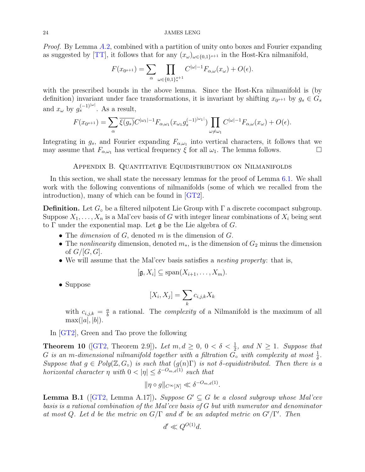Proof. By Lemma [A.](#page-22-2)2, combined with a partition of unity onto boxes and Fourier expanding as suggested by [\[TT\]](#page-26-6), it follows that for any  $(x_\omega)_{\omega \in \{0,1\}^{s+1}}$  in the Host-Kra nilmanifold,

$$
F(x_{0^{s+1}}) = \sum_{\alpha} \prod_{\omega \in \{0,1\}^{s+1}} C^{|\omega|-1} F_{\alpha,\omega}(x_{\omega}) + O(\epsilon).
$$

with the prescribed bounds in the above lemma. Since the Host-Kra nilmanifold is (by definition) invariant under face transformations, it is invariant by shifting  $x_{0^{s+1}}$  by  $g_s \in G_s$ and  $x_{\omega}$  by  $g_s^{(-1)^{|\omega|}}$ . As a result,

$$
F(x_{0^{s+1}}) = \sum_{\alpha} \overline{\xi(g_s)} C^{|\omega_1|-1} F_{\alpha,\omega_1}(x_{\omega_1} g_s^{(-1)^{|\omega_1|}}) \prod_{\omega \neq \omega_1} C^{|\omega|-1} F_{\alpha,\omega}(x_{\omega}) + O(\epsilon).
$$

Integrating in  $g_s$ , and Fourier expanding  $F_{\alpha,\omega_1}$  into vertical characters, it follows that we may assume that  $F_{\alpha,\omega_1}$  has vertical frequency  $\xi$  for all  $\omega_1$ . The lemma follows.

### Appendix B. Quantitative Equidistribution on Nilmanifolds

In this section, we shall state the necessary lemmas for the proof of Lemma 6.[1.](#page-18-0) We shall work with the following conventions of nilmanifolds (some of which we recalled from the introduction), many of which can be found in [\[GT2\]](#page-25-15).

**Definition.** Let  $G_{\circ}$  be a filtered nilpotent Lie Group with  $\Gamma$  a discrete cocompact subgroup. Suppose  $X_1, \ldots, X_n$  is a Mal'cev basis of G with integer linear combinations of  $X_i$  being sent to  $\Gamma$  under the exponential map. Let  $\mathfrak g$  be the Lie algebra of  $G$ .

- The *dimension* of  $G$ , denoted  $m$  is the dimension of  $G$ .
- The nonlinearity dimension, denoted  $m_*$ , is the dimension of  $G_2$  minus the dimension of  $G/[G, G]$ .
- We will assume that the Mal'cev basis satisfies a *nesting property*: that is,

$$
[\mathfrak{g}, X_i] \subseteq \text{span}(X_{i+1}, \dots, X_m).
$$

• Suppose

$$
[X_i, X_j] = \sum_k c_{i,j,k} X_k
$$

with  $c_{i,j,k} = \frac{a}{b}$  $\frac{a}{b}$  a rational. The *complexity* of a Nilmanifold is the maximum of all  $max(|a|, |b|).$ 

In [\[GT2\]](#page-25-15), Green and Tao prove the following

**Theorem 10** ([\[GT2,](#page-25-15) Theorem 2.9]). Let  $m, d \geq 0, 0 < \delta < \frac{1}{2}$ , and  $N \geq 1$ . Suppose that G is an m-dimensional nilmanifold together with a filtration  $\overline{G}_{\circ}$  with complexity at most  $\frac{1}{\delta}$ . Suppose that  $g \in Poly(\mathbb{Z}, G_{\circ})$  is such that  $(g(n)\Gamma)$  is not  $\delta$ -equidistributed. Then there is a horizontal character  $\eta$  with  $0 < |\eta| \leq \delta^{-O_{m,d}(1)}$  such that

$$
\|\eta \circ g\|_{C^{\infty}[N]} \ll \delta^{-O_{m,d}(1)}.
$$

<span id="page-23-0"></span>**Lemma B.1** ([\[GT2,](#page-25-15) Lemma A.17]). Suppose  $G' \subset G$  be a closed subgroup whose Mal'cev basis is a rational combination of the Mal'cev basis of G but with numerator and denominator at most Q. Let d be the metric on  $G/\Gamma$  and d' be an adapted metric on  $G'/\Gamma'$ . Then

$$
d' \ll Q^{O(1)}d.
$$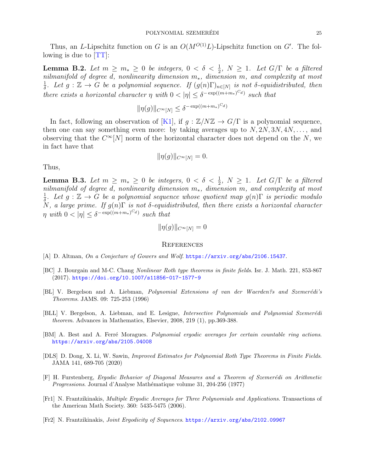Thus, an L-Lipschitz function on G is an  $O(M^{O(1)}L)$ -Lipschitz function on G'. The following is due to [\[TT\]](#page-26-6):

<span id="page-24-8"></span>**Lemma B.2.** Let  $m \ge m_* \ge 0$  be integers,  $0 < \delta < \frac{1}{2}$ ,  $N \ge 1$ . Let  $G/\Gamma$  be a filtered nilmanifold of degree d, nonlinearity dimension m∗, dimension m, and complexity at most 1  $\frac{1}{\delta}$ . Let  $g : \mathbb{Z} \to G$  be a polynomial sequence. If  $(g(n)\Gamma)_{n\in [N]}$  is not  $\delta$ -equidistributed, then there exists a horizontal character  $\eta$  with  $0 < |\eta| \leq \delta^{-\exp((m+m_*)^{C_d})}$  such that

$$
\|\eta(g)\|_{C^{\infty}[N]} \leq \delta^{-\exp((m+m_*)^{C_d})}
$$

In fact, following an observation of [\[K1\]](#page-25-11), if  $g : \mathbb{Z}/N\mathbb{Z} \to G/\Gamma$  is a polynomial sequence, then one can say something even more: by taking averages up to  $N, 2N, 3N, 4N, \ldots$ , and observing that the  $C^{\infty}[N]$  norm of the horizontal character does not depend on the N, we in fact have that

$$
\|\eta(g)\|_{C^\infty[N]}=0.
$$

Thus,

<span id="page-24-9"></span>**Lemma B.3.** Let  $m \ge m_* \ge 0$  be integers,  $0 < \delta < \frac{1}{2}$ ,  $N \ge 1$ . Let  $G/\Gamma$  be a filtered nilmanifold of degree d, nonlinearity dimension  $m_*$ , dimension m, and complexity at most 1  $\frac{1}{\delta}$ . Let  $g : \mathbb{Z} \to G$  be a polynomial sequence whose quotient map  $g(n)$  is periodic modulo N, a large prime. If  $g(n)$  is not  $\delta$ -equidistributed, then there exists a horizontal character  $\eta \text{ with } 0 < |\eta| \leq \delta^{-\exp((m+m_*)^{C_d})} \text{ such that}$ 

$$
\|\eta(g)\|_{C^\infty[N]}=0
$$

#### **REFERENCES**

- <span id="page-24-4"></span>[A] D. Altman, On a Conjecture of Gowers and Wolf. <https://arxiv.org/abs/2106.15437>.
- <span id="page-24-2"></span>[BC] J. Bourgain and M-C. Chang Nonlinear Roth type theorems in finite fields. Isr. J. Math. 221, 853-867 (2017). <https://doi.org/10.1007/s11856-017-1577-9>
- <span id="page-24-1"></span>[BL] V. Bergelson and A. Liebman, Polynomial Extensions of van der Waerden?s and Szemerédi's Theorems. JAMS. 09: 725-253 (1996)
- [BLL] V. Bergelson, A. Liebman, and E. Lesigne, Intersective Polynomials and Polynomial Szemerédi theorem. Advances in Mathematics, Elsevier, 2008, 219 (1), pp.369-388.
- <span id="page-24-7"></span>[BM] A. Best and A. Ferré Moragues. Polynomial ergodic averages for certain countable ring actions. <https://arxiv.org/abs/2105.04008>
- <span id="page-24-3"></span>[DLS] D. Dong, X. Li, W. Sawin, Improved Estimates for Polynomial Roth Type Theorems in Finite Fields. JAMA 141, 689-705 (2020)
- <span id="page-24-0"></span>[F] H. Furstenberg, Ergodic Behavior of Diagonal Measures and a Theorem of Szemerédi on Arithmetic Progressions. Journal d'Analyse Mathématique volume 31, 204-256 (1977)
- <span id="page-24-5"></span>[Fr1] N. Frantzikinakis, Multiple Ergodic Averages for Three Polynomials and Applications. Transactions of the American Math Society. 360: 5435-5475 (2006).
- <span id="page-24-6"></span>[Fr2] N. Frantzikinakis, Joint Ergodicity of Sequences. <https://arxiv.org/abs/2102.09967>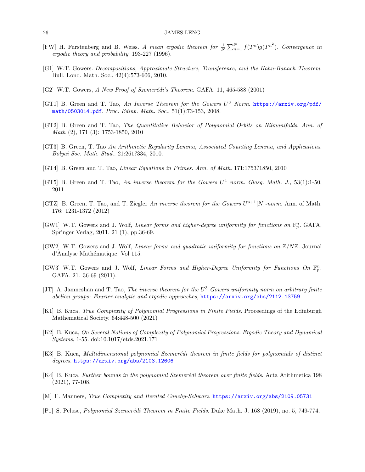- <span id="page-25-2"></span>[FW] H. Furstenberg and B. Weiss. A mean ergodic theorem for  $\frac{1}{N}\sum_{n=1}^{N}f(T^n)g(T^{n^2})$ . Convergence in ergodic theory and probability. 193-227 (1996).
- <span id="page-25-17"></span>[G1] W.T. Gowers. Decompositions, Approximate Structure, Transference, and the Hahn-Banach Theorem. Bull. Lond. Math. Soc., 42(4):573-606, 2010.
- <span id="page-25-0"></span>[G2] W.T. Gowers, A New Proof of Szemerédi's Theorem. GAFA.  $11, 465-588$  (2001)
- <span id="page-25-13"></span>[GT1] B. Green and T. Tao, An Inverse Theorem for the Gowers U<sup>3</sup> Norm. [https://arxiv.org/pdf/](https://arxiv.org/pdf/math/0503014.pdf) [math/0503014.pdf](https://arxiv.org/pdf/math/0503014.pdf). Proc. Edinb. Math. Soc., 51(1):73-153, 2008.
- <span id="page-25-15"></span>[GT2] B. Green and T. Tao, The Quantitative Behavior of Polynomial Orbits on Nilmanifolds. Ann. of Math (2), 171 (3): 1753-1850, 2010
- <span id="page-25-1"></span>[GT3] B. Green, T. Tao An Arithmetic Regularity Lemma, Associated Counting Lemma, and Applications. Bolyai Soc. Math. Stud.. 21:261?334, 2010.
- <span id="page-25-6"></span>[GT4] B. Green and T. Tao, Linear Equations in Primes. Ann. of Math. 171:1753?1850, 2010
- <span id="page-25-14"></span>[GT5] B. Green and T. Tao, An inverse theorem for the Gowers  $U^4$  norm. Glasg. Math. J., 53(1):1-50, 2011.
- <span id="page-25-16"></span>[GTZ] B. Green, T. Tao, and T. Ziegler An inverse theorem for the Gowers  $U^{s+1}[N]$ -norm. Ann. of Math. 176: 1231-1372 (2012)
- <span id="page-25-7"></span>[GW1] W.T. Gowers and J. Wolf, *Linear forms and higher-degree uniformity for functions on*  $\mathbb{F}_p^n$ . GAFA, Springer Verlag, 2011, 21 (1), pp.36-69.
- <span id="page-25-8"></span>[GW2] W.T. Gowers and J. Wolf, *Linear forms and quadratic uniformity for functions on*  $\mathbb{Z}/N\mathbb{Z}$ . Journal d'Analyse Mathématique. Vol 115.
- <span id="page-25-9"></span>[GW3] W.T. Gowers and J. Wolf, Linear Forms and Higher-Degree Uniformity for Functions On  $\mathbb{F}_p^n$ . GAFA. 21: 36-69 (2011).
- <span id="page-25-18"></span>[JT] A. Jamneshan and T. Tao, The inverse theorem for the  $U^3$  Gowers uniformity norm on arbitrary finite abelian groups: Fourier-analytic and ergodic approaches, <https://arxiv.org/abs/2112.13759>
- <span id="page-25-11"></span>[K1] B. Kuca, True Complexity of Polynomial Progressions in Finite Fields. Proceedings of the Edinburgh Mathematical Society. 64:448-500 (2021)
- <span id="page-25-12"></span>[K2] B. Kuca, On Several Notions of Complexity of Polynomial Progressions. Ergodic Theory and Dynamical Systems, 1-55. doi:10.1017/etds.2021.171
- <span id="page-25-4"></span>[K3] B. Kuca, Multidimensional polynomial Szemerédi theorem in finite fields for polynomials of distinct degrees. <https://arxiv.org/abs/2103.12606>
- <span id="page-25-5"></span>[K4] B. Kuca, Further bounds in the polynomial Szemerédi theorem over finite fields. Acta Arithmetica 198 (2021), 77-108.
- <span id="page-25-10"></span>[M] F. Manners, True Complexity and Iterated Cauchy-Schwarz, <https://arxiv.org/abs/2109.05731>
- <span id="page-25-3"></span>[P1] S. Peluse, *Polynomial Szemerédi Theorem in Finite Fields*. Duke Math. J. 168 (2019), no. 5, 749-774.